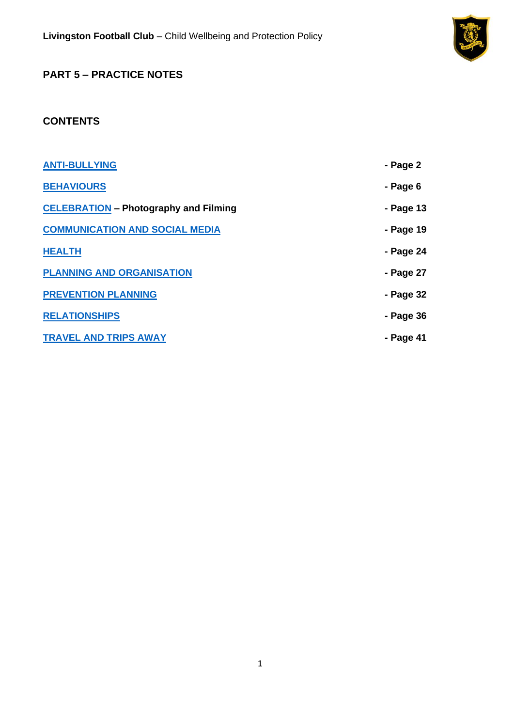

# **PART 5 – PRACTICE NOTES**

# **CONTENTS**

| <b>ANTI-BULLYING</b>                         | - Page 2  |
|----------------------------------------------|-----------|
| <b>BEHAVIOURS</b>                            | - Page 6  |
| <b>CELEBRATION</b> - Photography and Filming | - Page 13 |
| <b>COMMUNICATION AND SOCIAL MEDIA</b>        | - Page 19 |
| <b>HEALTH</b>                                | - Page 24 |
| <b>PLANNING AND ORGANISATION</b>             | - Page 27 |
| <b>PREVENTION PLANNING</b>                   | - Page 32 |
| <b>RELATIONSHIPS</b>                         | - Page 36 |
| <b>TRAVEL AND TRIPS AWAY</b>                 | - Page 41 |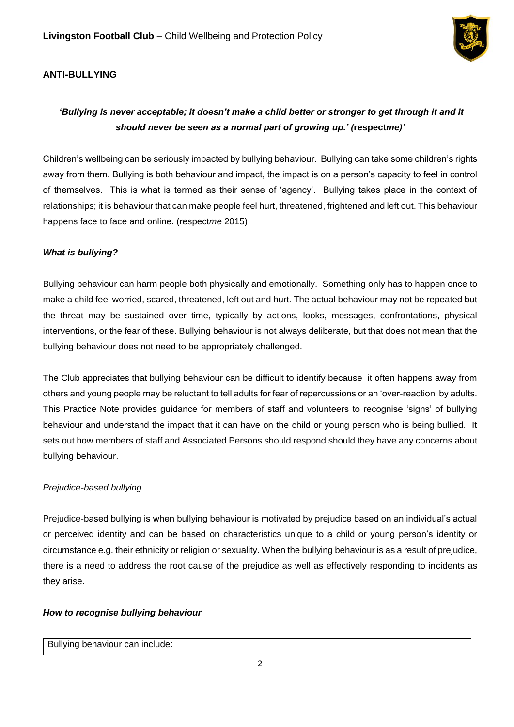

## <span id="page-1-0"></span>**ANTI-BULLYING**

# *'Bullying is never acceptable; it doesn't make a child better or stronger to get through it and it should never be seen as a normal part of growing up.' (***respect***me)'*

Children's wellbeing can be seriously impacted by bullying behaviour. Bullying can take some children's rights away from them. Bullying is both behaviour and impact, the impact is on a person's capacity to feel in control of themselves. This is what is termed as their sense of 'agency'. Bullying takes place in the context of relationships; it is behaviour that can make people feel hurt, threatened, frightened and left out. This behaviour happens face to face and online. (respect*me* 2015)

### *What is bullying?*

Bullying behaviour can harm people both physically and emotionally. Something only has to happen once to make a child feel worried, scared, threatened, left out and hurt. The actual behaviour may not be repeated but the threat may be sustained over time, typically by actions, looks, messages, confrontations, physical interventions, or the fear of these. Bullying behaviour is not always deliberate, but that does not mean that the bullying behaviour does not need to be appropriately challenged.

The Club appreciates that bullying behaviour can be difficult to identify because it often happens away from others and young people may be reluctant to tell adults for fear of repercussions or an 'over-reaction' by adults. This Practice Note provides guidance for members of staff and volunteers to recognise 'signs' of bullying behaviour and understand the impact that it can have on the child or young person who is being bullied. It sets out how members of staff and Associated Persons should respond should they have any concerns about bullying behaviour.

### *Prejudice-based bullying*

Prejudice-based bullying is when bullying behaviour is motivated by prejudice based on an individual's actual or perceived identity and can be based on characteristics unique to a child or young person's identity or circumstance e.g. their ethnicity or religion or sexuality. When the bullying behaviour is as a result of prejudice, there is a need to address the root cause of the prejudice as well as effectively responding to incidents as they arise.

### *How to recognise bullying behaviour*

#### Bullying behaviour can include: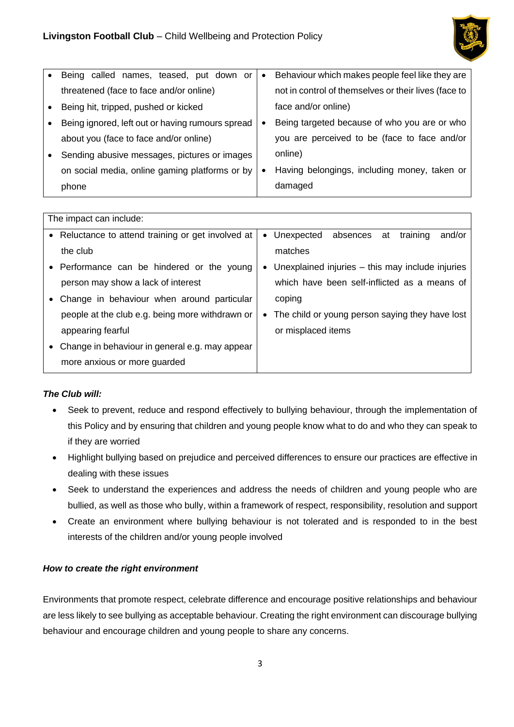

| $\bullet$ | Being called names, teased, put down or          | $\bullet$ | Behaviour which makes people feel like they are      |
|-----------|--------------------------------------------------|-----------|------------------------------------------------------|
|           | threatened (face to face and/or online)          |           | not in control of themselves or their lives (face to |
| $\bullet$ | Being hit, tripped, pushed or kicked             |           | face and/or online)                                  |
| $\bullet$ | Being ignored, left out or having rumours spread |           | Being targeted because of who you are or who         |
|           | about you (face to face and/or online)           |           | you are perceived to be (face to face and/or         |
| $\bullet$ | Sending abusive messages, pictures or images     |           | online)                                              |
|           | on social media, online gaming platforms or by   | $\bullet$ | Having belongings, including money, taken or         |
|           | phone                                            |           | damaged                                              |

|           | The impact can include:                            |           |                                                  |
|-----------|----------------------------------------------------|-----------|--------------------------------------------------|
|           | • Reluctance to attend training or get involved at | $\bullet$ | Unexpected<br>absences at<br>training<br>and/or  |
|           | the club                                           |           | matches                                          |
|           | • Performance can be hindered or the young         | $\bullet$ | Unexplained injuries – this may include injuries |
|           | person may show a lack of interest                 |           | which have been self-inflicted as a means of     |
| $\bullet$ | Change in behaviour when around particular         |           | coping                                           |
|           | people at the club e.g. being more withdrawn or    | $\bullet$ | The child or young person saying they have lost  |
|           | appearing fearful                                  |           | or misplaced items                               |
| $\bullet$ | Change in behaviour in general e.g. may appear     |           |                                                  |
|           | more anxious or more guarded                       |           |                                                  |

## *The Club will:*

- Seek to prevent, reduce and respond effectively to bullying behaviour, through the implementation of this Policy and by ensuring that children and young people know what to do and who they can speak to if they are worried
- Highlight bullying based on prejudice and perceived differences to ensure our practices are effective in dealing with these issues
- Seek to understand the experiences and address the needs of children and young people who are bullied, as well as those who bully, within a framework of respect, responsibility, resolution and support
- Create an environment where bullying behaviour is not tolerated and is responded to in the best interests of the children and/or young people involved

## *How to create the right environment*

Environments that promote respect, celebrate difference and encourage positive relationships and behaviour are less likely to see bullying as acceptable behaviour. Creating the right environment can discourage bullying behaviour and encourage children and young people to share any concerns.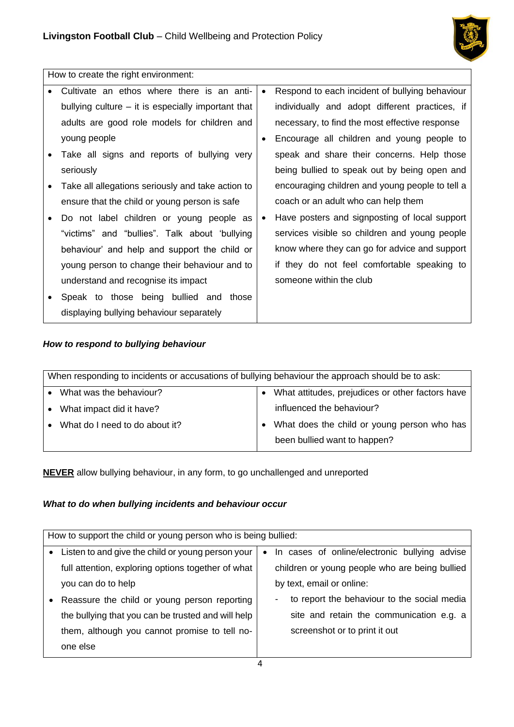

How to create the right environment:

|           | Cultivate an ethos where there is an anti-           | $\bullet$ | Respond to each incident of bullying behaviour  |
|-----------|------------------------------------------------------|-----------|-------------------------------------------------|
|           | bullying culture $-$ it is especially important that |           | individually and adopt different practices, if  |
|           | adults are good role models for children and         |           | necessary, to find the most effective response  |
|           | young people                                         | ٠         | Encourage all children and young people to      |
|           | Take all signs and reports of bullying very          |           | speak and share their concerns. Help those      |
|           | seriously                                            |           | being bullied to speak out by being open and    |
| $\bullet$ | Take all allegations seriously and take action to    |           | encouraging children and young people to tell a |
|           | ensure that the child or young person is safe        |           | coach or an adult who can help them             |
|           | Do not label children or young people as             | ٠         | Have posters and signposting of local support   |
|           | "victims" and "bullies". Talk about 'bullying        |           | services visible so children and young people   |
|           | behaviour' and help and support the child or         |           | know where they can go for advice and support   |
|           | young person to change their behaviour and to        |           | if they do not feel comfortable speaking to     |
|           | understand and recognise its impact                  |           | someone within the club                         |
|           | Speak to those being bullied and those               |           |                                                 |
|           | displaying bullying behaviour separately             |           |                                                 |
|           |                                                      |           |                                                 |

## *How to respond to bullying behaviour*

|           | When responding to incidents or accusations of bullying behaviour the approach should be to ask: |  |                                                  |  |  |
|-----------|--------------------------------------------------------------------------------------------------|--|--------------------------------------------------|--|--|
|           | What was the behaviour?                                                                          |  | What attitudes, prejudices or other factors have |  |  |
| $\bullet$ | What impact did it have?                                                                         |  | influenced the behaviour?                        |  |  |
|           | What do I need to do about it?                                                                   |  | What does the child or young person who has      |  |  |
|           |                                                                                                  |  | been bullied want to happen?                     |  |  |
|           |                                                                                                  |  |                                                  |  |  |

**NEVER** allow bullying behaviour, in any form, to go unchallenged and unreported

# *What to do when bullying incidents and behaviour occur*

|           | How to support the child or young person who is being bullied: |           |                                                   |  |
|-----------|----------------------------------------------------------------|-----------|---------------------------------------------------|--|
|           |                                                                |           |                                                   |  |
| $\bullet$ | Listen to and give the child or young person your              | $\bullet$ | In cases of online/electronic bullying advise     |  |
|           | full attention, exploring options together of what             |           | children or young people who are being bullied    |  |
|           | you can do to help                                             |           | by text, email or online:                         |  |
|           | Reassure the child or young person reporting                   |           | to report the behaviour to the social media<br>۰. |  |
|           | the bullying that you can be trusted and will help             |           | site and retain the communication e.g. a          |  |
|           | them, although you cannot promise to tell no-                  |           | screenshot or to print it out                     |  |
|           | one else                                                       |           |                                                   |  |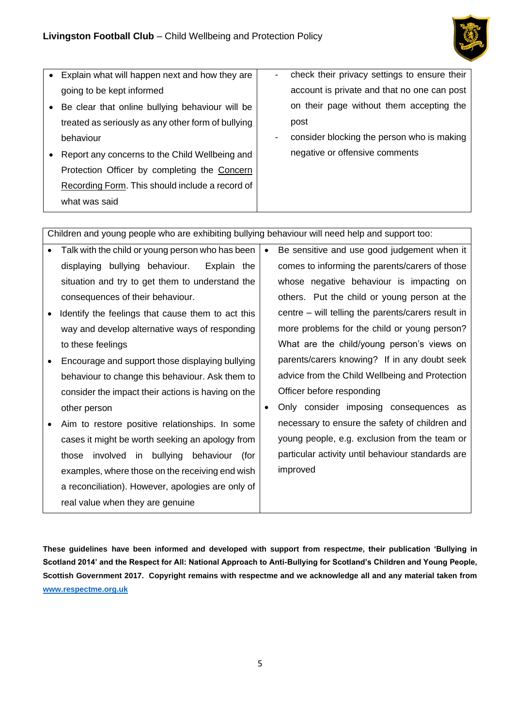

| $\bullet$ | Explain what will happen next and how they are     | ۰                        | check their privacy settings to ensure their |
|-----------|----------------------------------------------------|--------------------------|----------------------------------------------|
|           | going to be kept informed                          |                          | account is private and that no one can post  |
| $\bullet$ | Be clear that online bullying behaviour will be    |                          | on their page without them accepting the     |
|           | treated as seriously as any other form of bullying |                          | post                                         |
|           | behaviour                                          | $\overline{\phantom{a}}$ | consider blocking the person who is making   |
|           | Report any concerns to the Child Wellbeing and     |                          | negative or offensive comments               |
|           | Protection Officer by completing the Concern       |                          |                                              |
|           | Recording Form. This should include a record of    |                          |                                              |
|           | what was said                                      |                          |                                              |
|           |                                                    |                          |                                              |

Children and young people who are exhibiting bullying behaviour will need help and support too:

- Talk with the child or young person who has been displaying bullying behaviour. Explain the situation and try to get them to understand the consequences of their behaviour.
- Identify the feelings that cause them to act this way and develop alternative ways of responding to these feelings
- Encourage and support those displaying bullying behaviour to change this behaviour. Ask them to consider the impact their actions is having on the other person
- Aim to restore positive relationships. In some cases it might be worth seeking an apology from those involved in bullying behaviour (for examples, where those on the receiving end wish a reconciliation). However, apologies are only of real value when they are genuine
- Be sensitive and use good judgement when it comes to informing the parents/carers of those whose negative behaviour is impacting on others. Put the child or young person at the centre – will telling the parents/carers result in more problems for the child or young person? What are the child/young person's views on parents/carers knowing? If in any doubt seek advice from the Child Wellbeing and Protection Officer before responding
- Only consider imposing consequences as necessary to ensure the safety of children and young people, e.g. exclusion from the team or particular activity until behaviour standards are improved

**These guidelines have been informed and developed with support from respect***me***, their publication 'Bullying in Scotland 2014' and the Respect for All: National Approach to Anti-Bullying for Scotland's Children and Young People, Scottish Government 2017. Copyright remains with respectme and we acknowledge all and any material taken from [www.respectme.org.uk](http://www.respectme.org.uk/)**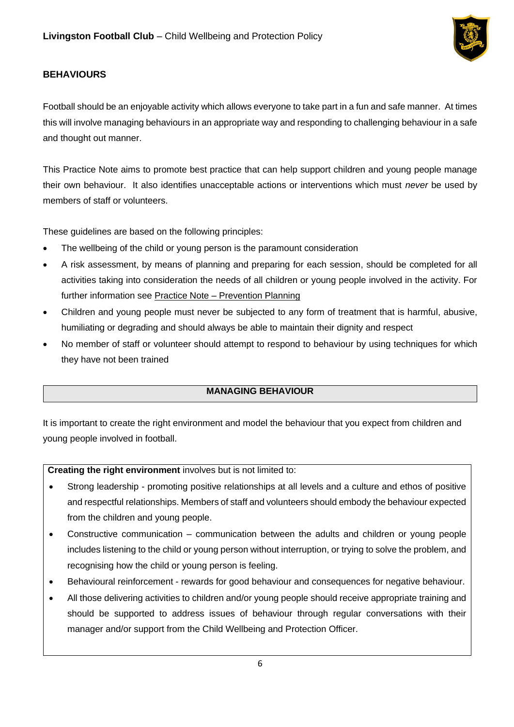

## <span id="page-5-0"></span>**BEHAVIOURS**

Football should be an enjoyable activity which allows everyone to take part in a fun and safe manner. At times this will involve managing behaviours in an appropriate way and responding to challenging behaviour in a safe and thought out manner.

This Practice Note aims to promote best practice that can help support children and young people manage their own behaviour. It also identifies unacceptable actions or interventions which must *never* be used by members of staff or volunteers.

These guidelines are based on the following principles:

- The wellbeing of the child or young person is the paramount consideration
- A risk assessment, by means of planning and preparing for each session, should be completed for all activities taking into consideration the needs of all children or young people involved in the activity. For further information see Practice Note – Prevention Planning
- Children and young people must never be subjected to any form of treatment that is harmful, abusive, humiliating or degrading and should always be able to maintain their dignity and respect
- No member of staff or volunteer should attempt to respond to behaviour by using techniques for which they have not been trained

## **MANAGING BEHAVIOUR**

It is important to create the right environment and model the behaviour that you expect from children and young people involved in football.

**Creating the right environment** involves but is not limited to:

- Strong leadership promoting positive relationships at all levels and a culture and ethos of positive and respectful relationships. Members of staff and volunteers should embody the behaviour expected from the children and young people.
- Constructive communication communication between the adults and children or young people includes listening to the child or young person without interruption, or trying to solve the problem, and recognising how the child or young person is feeling.
- Behavioural reinforcement rewards for good behaviour and consequences for negative behaviour.
- All those delivering activities to children and/or young people should receive appropriate training and should be supported to address issues of behaviour through regular conversations with their manager and/or support from the Child Wellbeing and Protection Officer.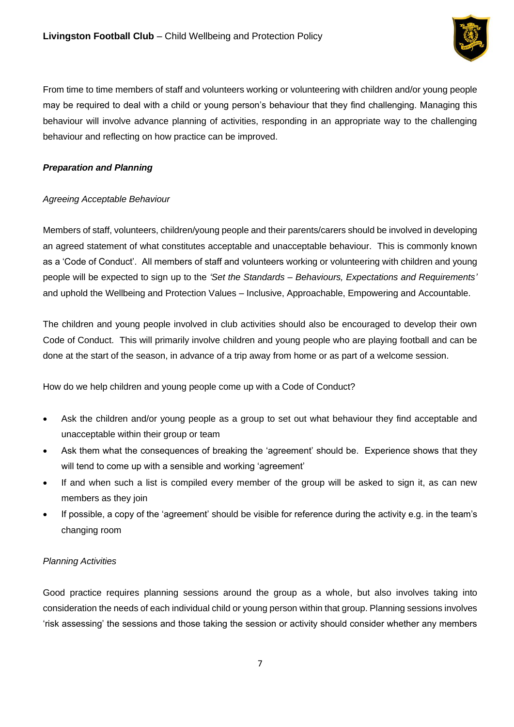

From time to time members of staff and volunteers working or volunteering with children and/or young people may be required to deal with a child or young person's behaviour that they find challenging. Managing this behaviour will involve advance planning of activities, responding in an appropriate way to the challenging behaviour and reflecting on how practice can be improved.

### *Preparation and Planning*

### *Agreeing Acceptable Behaviour*

Members of staff, volunteers, children/young people and their parents/carers should be involved in developing an agreed statement of what constitutes acceptable and unacceptable behaviour. This is commonly known as a 'Code of Conduct'. All members of staff and volunteers working or volunteering with children and young people will be expected to sign up to the *'Set the Standards – Behaviours, Expectations and Requirements'* and uphold the Wellbeing and Protection Values – Inclusive, Approachable, Empowering and Accountable.

The children and young people involved in club activities should also be encouraged to develop their own Code of Conduct. This will primarily involve children and young people who are playing football and can be done at the start of the season, in advance of a trip away from home or as part of a welcome session.

How do we help children and young people come up with a Code of Conduct?

- Ask the children and/or young people as a group to set out what behaviour they find acceptable and unacceptable within their group or team
- Ask them what the consequences of breaking the 'agreement' should be. Experience shows that they will tend to come up with a sensible and working 'agreement'
- If and when such a list is compiled every member of the group will be asked to sign it, as can new members as they join
- If possible, a copy of the 'agreement' should be visible for reference during the activity e.g. in the team's changing room

### *Planning Activities*

Good practice requires planning sessions around the group as a whole, but also involves taking into consideration the needs of each individual child or young person within that group. Planning sessions involves 'risk assessing' the sessions and those taking the session or activity should consider whether any members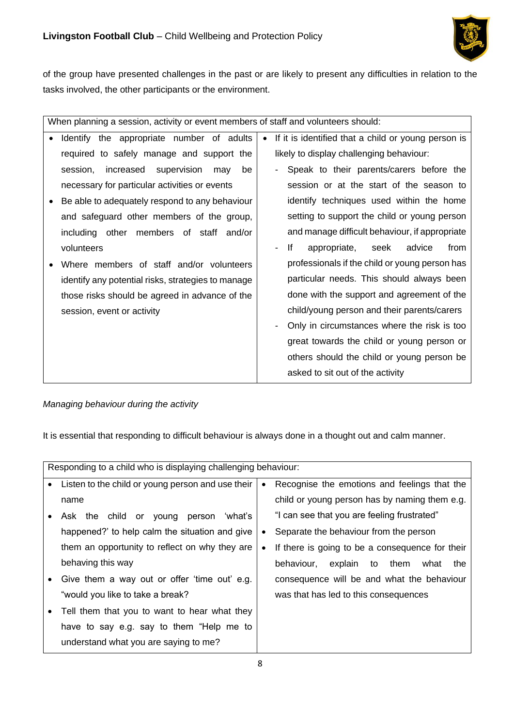

of the group have presented challenges in the past or are likely to present any difficulties in relation to the tasks involved, the other participants or the environment.

| When planning a session, activity or event members of staff and volunteers should:                                                                                                                                                                                                          |                                                                                                                                                                                                                                                                                                                                                                                                                                                                                                    |  |
|---------------------------------------------------------------------------------------------------------------------------------------------------------------------------------------------------------------------------------------------------------------------------------------------|----------------------------------------------------------------------------------------------------------------------------------------------------------------------------------------------------------------------------------------------------------------------------------------------------------------------------------------------------------------------------------------------------------------------------------------------------------------------------------------------------|--|
| Identify the appropriate number of adults<br>required to safely manage and support the<br>session,<br>increased<br>supervision<br>be<br>may<br>necessary for particular activities or events<br>Be able to adequately respond to any behaviour<br>and safeguard other members of the group, | If it is identified that a child or young person is<br>likely to display challenging behaviour:<br>Speak to their parents/carers before the<br>session or at the start of the season to<br>identify techniques used within the home<br>setting to support the child or young person                                                                                                                                                                                                                |  |
| including other members of staff and/or<br>volunteers<br>Where members of staff and/or volunteers<br>identify any potential risks, strategies to manage<br>those risks should be agreed in advance of the<br>session, event or activity                                                     | and manage difficult behaviour, if appropriate<br>lf<br>appropriate, seek<br>advice<br>from<br>$\overline{\phantom{0}}$<br>professionals if the child or young person has<br>particular needs. This should always been<br>done with the support and agreement of the<br>child/young person and their parents/carers<br>Only in circumstances where the risk is too<br>great towards the child or young person or<br>others should the child or young person be<br>asked to sit out of the activity |  |

## *Managing behaviour during the activity*

It is essential that responding to difficult behaviour is always done in a thought out and calm manner.

|           | Responding to a child who is displaying challenging behaviour: |           |                                                 |
|-----------|----------------------------------------------------------------|-----------|-------------------------------------------------|
|           | • Listen to the child or young person and use their            | $\bullet$ | Recognise the emotions and feelings that the    |
|           | name                                                           |           | child or young person has by naming them e.g.   |
|           | Ask the child or young<br>person<br>'what's                    |           | "I can see that you are feeling frustrated"     |
|           | happened?' to help calm the situation and give                 | ٠         | Separate the behaviour from the person          |
|           | them an opportunity to reflect on why they are                 | ٠         | If there is going to be a consequence for their |
|           | behaving this way                                              |           | behaviour,<br>explain to<br>them<br>what<br>the |
| $\bullet$ | Give them a way out or offer 'time out' e.g.                   |           | consequence will be and what the behaviour      |
|           | "would you like to take a break?                               |           | was that has led to this consequences           |
| $\bullet$ | Tell them that you to want to hear what they                   |           |                                                 |
|           | have to say e.g. say to them "Help me to                       |           |                                                 |
|           | understand what you are saying to me?                          |           |                                                 |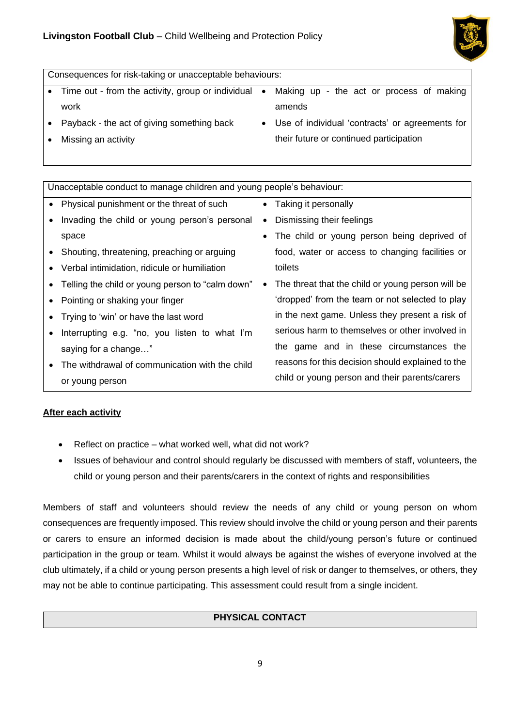

|           | Consequences for risk-taking or unacceptable behaviours: |           |                                                 |  |
|-----------|----------------------------------------------------------|-----------|-------------------------------------------------|--|
|           | • Time out - from the activity, group or individual      | $\bullet$ | Making up - the act or process of making        |  |
|           | work                                                     |           | amends                                          |  |
| $\bullet$ | Payback - the act of giving something back               |           | Use of individual 'contracts' or agreements for |  |
|           | Missing an activity                                      |           | their future or continued participation         |  |
|           |                                                          |           |                                                 |  |

| Unacceptable conduct to manage children and young people's behaviour: |           |                                                   |
|-----------------------------------------------------------------------|-----------|---------------------------------------------------|
| • Physical punishment or the threat of such                           | $\bullet$ | Taking it personally                              |
| Invading the child or young person's personal                         | ٠         | Dismissing their feelings                         |
| space                                                                 |           | The child or young person being deprived of       |
| • Shouting, threatening, preaching or arguing                         |           | food, water or access to changing facilities or   |
| • Verbal intimidation, ridicule or humiliation                        |           | toilets                                           |
| Telling the child or young person to "calm down"                      | ٠         | The threat that the child or young person will be |
| • Pointing or shaking your finger                                     |           | 'dropped' from the team or not selected to play   |
| Trying to 'win' or have the last word                                 |           | in the next game. Unless they present a risk of   |
| Interrupting e.g. "no, you listen to what I'm                         |           | serious harm to themselves or other involved in   |
| saying for a change"                                                  |           | the game and in these circumstances the           |
| The withdrawal of communication with the child                        |           | reasons for this decision should explained to the |
| or young person                                                       |           | child or young person and their parents/carers    |

## **After each activity**

- Reflect on practice what worked well, what did not work?
- Issues of behaviour and control should regularly be discussed with members of staff, volunteers, the child or young person and their parents/carers in the context of rights and responsibilities

Members of staff and volunteers should review the needs of any child or young person on whom consequences are frequently imposed. This review should involve the child or young person and their parents or carers to ensure an informed decision is made about the child/young person's future or continued participation in the group or team. Whilst it would always be against the wishes of everyone involved at the club ultimately, if a child or young person presents a high level of risk or danger to themselves, or others, they may not be able to continue participating. This assessment could result from a single incident.

# **PHYSICAL CONTACT**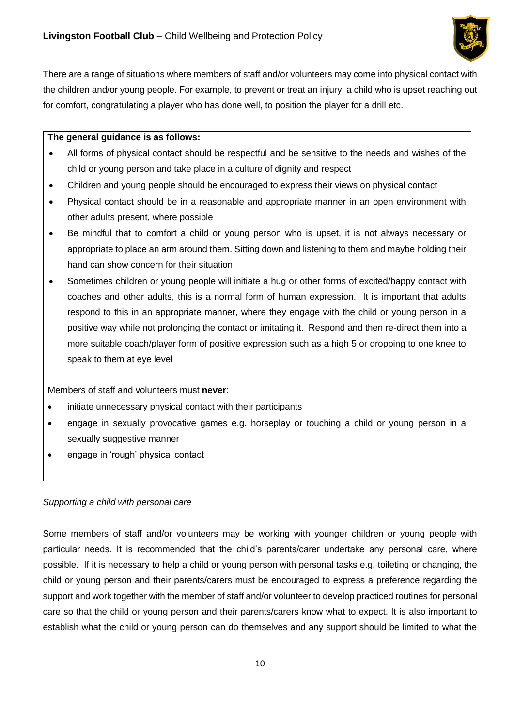

There are a range of situations where members of staff and/or volunteers may come into physical contact with the children and/or young people. For example, to prevent or treat an injury, a child who is upset reaching out for comfort, congratulating a player who has done well, to position the player for a drill etc.

#### **The general guidance is as follows:**

- All forms of physical contact should be respectful and be sensitive to the needs and wishes of the child or young person and take place in a culture of dignity and respect
- Children and young people should be encouraged to express their views on physical contact
- Physical contact should be in a reasonable and appropriate manner in an open environment with other adults present, where possible
- Be mindful that to comfort a child or young person who is upset, it is not always necessary or appropriate to place an arm around them. Sitting down and listening to them and maybe holding their hand can show concern for their situation
- Sometimes children or young people will initiate a hug or other forms of excited/happy contact with coaches and other adults, this is a normal form of human expression. It is important that adults respond to this in an appropriate manner, where they engage with the child or young person in a positive way while not prolonging the contact or imitating it. Respond and then re-direct them into a more suitable coach/player form of positive expression such as a high 5 or dropping to one knee to speak to them at eye level

Members of staff and volunteers must **never**:

- initiate unnecessary physical contact with their participants
- engage in sexually provocative games e.g. horseplay or touching a child or young person in a sexually suggestive manner
- engage in 'rough' physical contact

### *Supporting a child with personal care*

Some members of staff and/or volunteers may be working with younger children or young people with particular needs. It is recommended that the child's parents/carer undertake any personal care, where possible. If it is necessary to help a child or young person with personal tasks e.g. toileting or changing, the child or young person and their parents/carers must be encouraged to express a preference regarding the support and work together with the member of staff and/or volunteer to develop practiced routines for personal care so that the child or young person and their parents/carers know what to expect. It is also important to establish what the child or young person can do themselves and any support should be limited to what the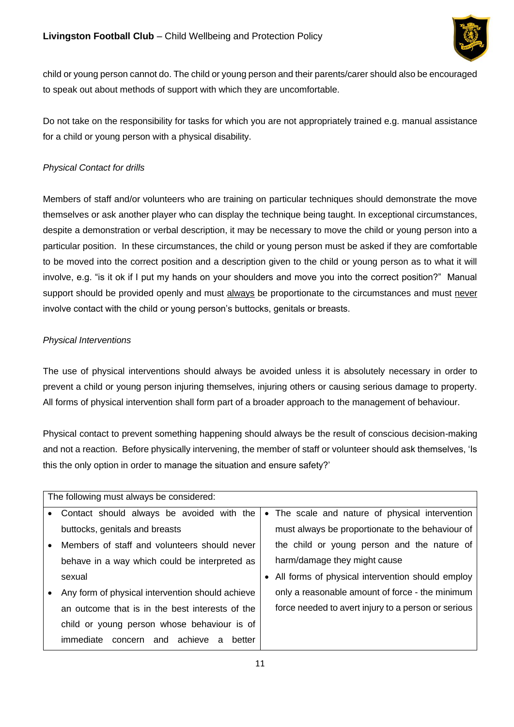

child or young person cannot do. The child or young person and their parents/carer should also be encouraged to speak out about methods of support with which they are uncomfortable.

Do not take on the responsibility for tasks for which you are not appropriately trained e.g. manual assistance for a child or young person with a physical disability.

## *Physical Contact for drills*

Members of staff and/or volunteers who are training on particular techniques should demonstrate the move themselves or ask another player who can display the technique being taught. In exceptional circumstances, despite a demonstration or verbal description, it may be necessary to move the child or young person into a particular position. In these circumstances, the child or young person must be asked if they are comfortable to be moved into the correct position and a description given to the child or young person as to what it will involve, e.g. "is it ok if I put my hands on your shoulders and move you into the correct position?" Manual support should be provided openly and must always be proportionate to the circumstances and must never involve contact with the child or young person's buttocks, genitals or breasts.

## *Physical Interventions*

The use of physical interventions should always be avoided unless it is absolutely necessary in order to prevent a child or young person injuring themselves, injuring others or causing serious damage to property. All forms of physical intervention shall form part of a broader approach to the management of behaviour.

Physical contact to prevent something happening should always be the result of conscious decision-making and not a reaction. Before physically intervening, the member of staff or volunteer should ask themselves, 'Is this the only option in order to manage the situation and ensure safety?'

| The following must always be considered:         |  |                                                     |
|--------------------------------------------------|--|-----------------------------------------------------|
| Contact should always be avoided with the        |  | • The scale and nature of physical intervention     |
| buttocks, genitals and breasts                   |  | must always be proportionate to the behaviour of    |
| Members of staff and volunteers should never     |  | the child or young person and the nature of         |
| behave in a way which could be interpreted as    |  | harm/damage they might cause                        |
| sexual                                           |  | • All forms of physical intervention should employ  |
| Any form of physical intervention should achieve |  | only a reasonable amount of force - the minimum     |
| an outcome that is in the best interests of the  |  | force needed to avert injury to a person or serious |
| child or young person whose behaviour is of      |  |                                                     |
| concern and achieve<br>immediate<br>better<br>a  |  |                                                     |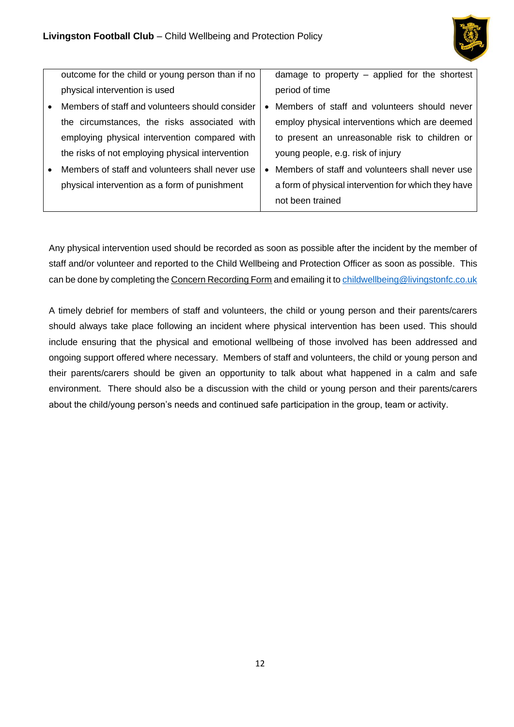

|           | outcome for the child or young person than if no | damage to property - applied for the shortest       |
|-----------|--------------------------------------------------|-----------------------------------------------------|
|           | physical intervention is used                    | period of time                                      |
| $\bullet$ | Members of staff and volunteers should consider  | Members of staff and volunteers should never        |
|           | the circumstances, the risks associated with     | employ physical interventions which are deemed      |
|           | employing physical intervention compared with    | to present an unreasonable risk to children or      |
|           | the risks of not employing physical intervention | young people, e.g. risk of injury                   |
| $\bullet$ | Members of staff and volunteers shall never use  | Members of staff and volunteers shall never use     |
|           | physical intervention as a form of punishment    | a form of physical intervention for which they have |
|           |                                                  | not been trained                                    |

Any physical intervention used should be recorded as soon as possible after the incident by the member of staff and/or volunteer and reported to the Child Wellbeing and Protection Officer as soon as possible. This can be done by completing the Concern Recording Form and emailing it to [childwellbeing@livingstonfc.co.uk](mailto:childwellbeing@livingstonfc.co.uk)

A timely debrief for members of staff and volunteers, the child or young person and their parents/carers should always take place following an incident where physical intervention has been used. This should include ensuring that the physical and emotional wellbeing of those involved has been addressed and ongoing support offered where necessary. Members of staff and volunteers, the child or young person and their parents/carers should be given an opportunity to talk about what happened in a calm and safe environment. There should also be a discussion with the child or young person and their parents/carers about the child/young person's needs and continued safe participation in the group, team or activity.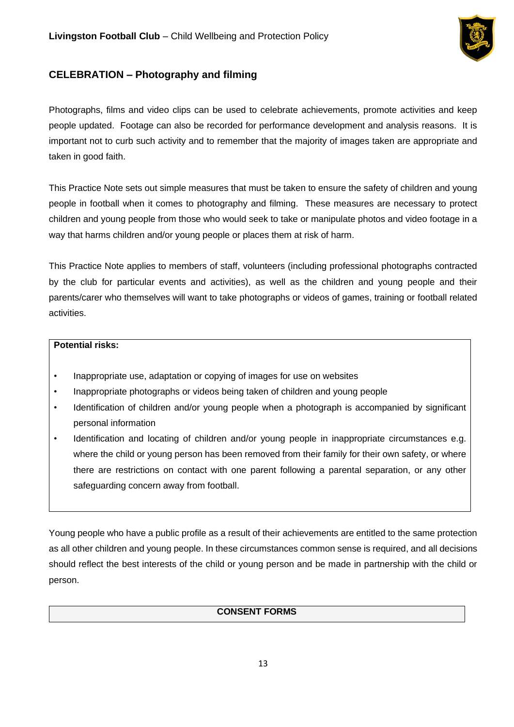

# <span id="page-12-0"></span>**CELEBRATION – Photography and filming**

Photographs, films and video clips can be used to celebrate achievements, promote activities and keep people updated. Footage can also be recorded for performance development and analysis reasons. It is important not to curb such activity and to remember that the majority of images taken are appropriate and taken in good faith.

This Practice Note sets out simple measures that must be taken to ensure the safety of children and young people in football when it comes to photography and filming. These measures are necessary to protect children and young people from those who would seek to take or manipulate photos and video footage in a way that harms children and/or young people or places them at risk of harm.

This Practice Note applies to members of staff, volunteers (including professional photographs contracted by the club for particular events and activities), as well as the children and young people and their parents/carer who themselves will want to take photographs or videos of games, training or football related activities.

### **Potential risks:**

- Inappropriate use, adaptation or copying of images for use on websites
- Inappropriate photographs or videos being taken of children and young people
- Identification of children and/or young people when a photograph is accompanied by significant personal information
- Identification and locating of children and/or young people in inappropriate circumstances e.g. where the child or young person has been removed from their family for their own safety, or where there are restrictions on contact with one parent following a parental separation, or any other safeguarding concern away from football.

Young people who have a public profile as a result of their achievements are entitled to the same protection as all other children and young people. In these circumstances common sense is required, and all decisions should reflect the best interests of the child or young person and be made in partnership with the child or person.

## **CONSENT FORMS**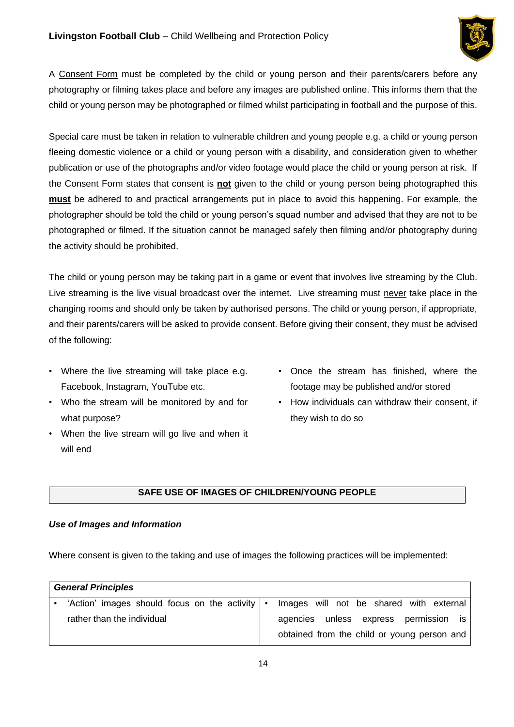

A Consent Form must be completed by the child or young person and their parents/carers before any photography or filming takes place and before any images are published online. This informs them that the child or young person may be photographed or filmed whilst participating in football and the purpose of this.

Special care must be taken in relation to vulnerable children and young people e.g. a child or young person fleeing domestic violence or a child or young person with a disability, and consideration given to whether publication or use of the photographs and/or video footage would place the child or young person at risk. If the Consent Form states that consent is **not** given to the child or young person being photographed this **must** be adhered to and practical arrangements put in place to avoid this happening. For example, the photographer should be told the child or young person's squad number and advised that they are not to be photographed or filmed. If the situation cannot be managed safely then filming and/or photography during the activity should be prohibited.

The child or young person may be taking part in a game or event that involves live streaming by the Club. Live streaming is the live visual broadcast over the internet. Live streaming must never take place in the changing rooms and should only be taken by authorised persons. The child or young person, if appropriate, and their parents/carers will be asked to provide consent. Before giving their consent, they must be advised of the following:

- Where the live streaming will take place e.g. Facebook, Instagram, YouTube etc.
- Who the stream will be monitored by and for what purpose?
- When the live stream will go live and when it will end
- Once the stream has finished, where the footage may be published and/or stored
- How individuals can withdraw their consent, if they wish to do so

### **SAFE USE OF IMAGES OF CHILDREN/YOUNG PEOPLE**

### *Use of Images and Information*

Where consent is given to the taking and use of images the following practices will be implemented:

| <b>General Principles</b>                            |  |                                             |
|------------------------------------------------------|--|---------------------------------------------|
| 'Action' images should focus on the activity $\cdot$ |  | Images will not be shared with external     |
| rather than the individual                           |  | agencies unless express permission is       |
|                                                      |  | obtained from the child or young person and |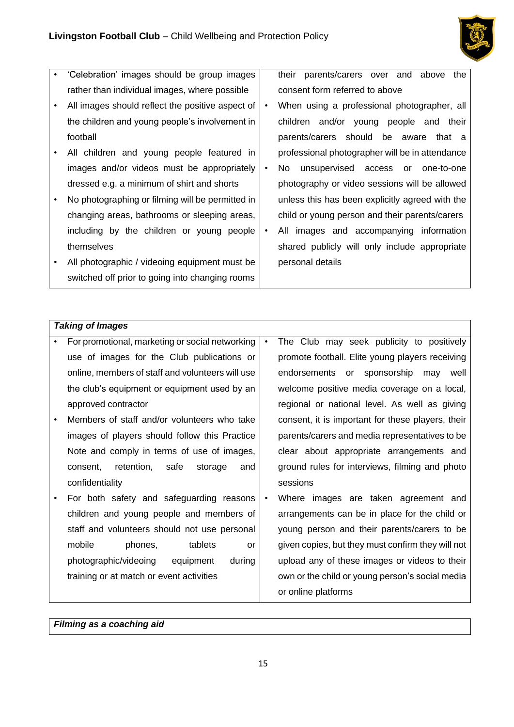

- 'Celebration' images should be group images rather than individual images, where possible
- All images should reflect the positive aspect of the children and young people's involvement in football
- All children and young people featured in images and/or videos must be appropriately dressed e.g. a minimum of shirt and shorts
- No photographing or filming will be permitted in changing areas, bathrooms or sleeping areas, including by the children or young people themselves
- All photographic / videoing equipment must be switched off prior to going into changing rooms

their parents/carers over and above the consent form referred to above

- When using a professional photographer, all children and/or young people and their parents/carers should be aware that a professional photographer will be in attendance
- No unsupervised access or one-to-one photography or video sessions will be allowed unless this has been explicitly agreed with the child or young person and their parents/carers
- All images and accompanying information shared publicly will only include appropriate personal details

### *Taking of Images*

| For promotional, marketing or social networking  | $\bullet$ | The Club may seek publicity to positively         |
|--------------------------------------------------|-----------|---------------------------------------------------|
| use of images for the Club publications or       |           | promote football. Elite young players receiving   |
| online, members of staff and volunteers will use |           | endorsements or sponsorship may well              |
| the club's equipment or equipment used by an     |           | welcome positive media coverage on a local,       |
| approved contractor                              |           | regional or national level. As well as giving     |
| Members of staff and/or volunteers who take      |           | consent, it is important for these players, their |
| images of players should follow this Practice    |           | parents/carers and media representatives to be    |
| Note and comply in terms of use of images,       |           | clear about appropriate arrangements and          |
| retention,<br>safe<br>storage<br>consent,<br>and |           | ground rules for interviews, filming and photo    |
| confidentiality                                  |           | sessions                                          |
| For both safety and safeguarding reasons         | $\bullet$ | Where images are taken agreement and              |
| children and young people and members of         |           | arrangements can be in place for the child or     |
| staff and volunteers should not use personal     |           | young person and their parents/carers to be       |
| mobile<br>phones,<br>tablets<br>or               |           | given copies, but they must confirm they will not |
| photographic/videoing<br>equipment<br>during     |           | upload any of these images or videos to their     |
| training or at match or event activities         |           | own or the child or young person's social media   |
|                                                  |           | or online platforms                               |

*Filming as a coaching aid*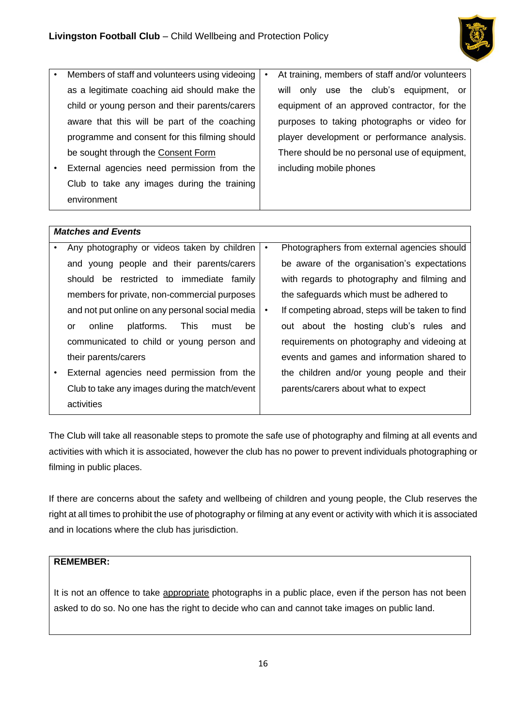

|                           | Members of staff and volunteers using videoing |  | At training, members of staff and/or volunteers |
|---------------------------|------------------------------------------------|--|-------------------------------------------------|
|                           | as a legitimate coaching aid should make the   |  | will only use the club's equipment, or          |
|                           | child or young person and their parents/carers |  | equipment of an approved contractor, for the    |
|                           | aware that this will be part of the coaching   |  | purposes to taking photographs or video for     |
|                           | programme and consent for this filming should  |  | player development or performance analysis.     |
|                           | be sought through the Consent Form             |  | There should be no personal use of equipment,   |
| $\bullet$                 | External agencies need permission from the     |  | including mobile phones                         |
|                           | Club to take any images during the training    |  |                                                 |
|                           | environment                                    |  |                                                 |
|                           |                                                |  |                                                 |
| <b>Matches and Events</b> |                                                |  |                                                 |

| Any photography or videos taken by children       | $\bullet$ | Photographers from external agencies should      |
|---------------------------------------------------|-----------|--------------------------------------------------|
| and young people and their parents/carers         |           | be aware of the organisation's expectations      |
| restricted to immediate<br>be<br>familv<br>should |           | with regards to photography and filming and      |
| members for private, non-commercial purposes      |           | the safeguards which must be adhered to          |
| and not put online on any personal social media   | ٠         | If competing abroad, steps will be taken to find |
| platforms.<br>This<br>online<br>be<br>must<br>or  |           | out about the hosting club's rules and           |
| communicated to child or young person and         |           | requirements on photography and videoing at      |
| their parents/carers                              |           | events and games and information shared to       |
| External agencies need permission from the        |           | the children and/or young people and their       |
| Club to take any images during the match/event    |           | parents/carers about what to expect              |
| activities                                        |           |                                                  |

The Club will take all reasonable steps to promote the safe use of photography and filming at all events and activities with which it is associated, however the club has no power to prevent individuals photographing or filming in public places.

If there are concerns about the safety and wellbeing of children and young people, the Club reserves the right at all times to prohibit the use of photography or filming at any event or activity with which it is associated and in locations where the club has jurisdiction.

## **REMEMBER:**

It is not an offence to take appropriate photographs in a public place, even if the person has not been asked to do so. No one has the right to decide who can and cannot take images on public land.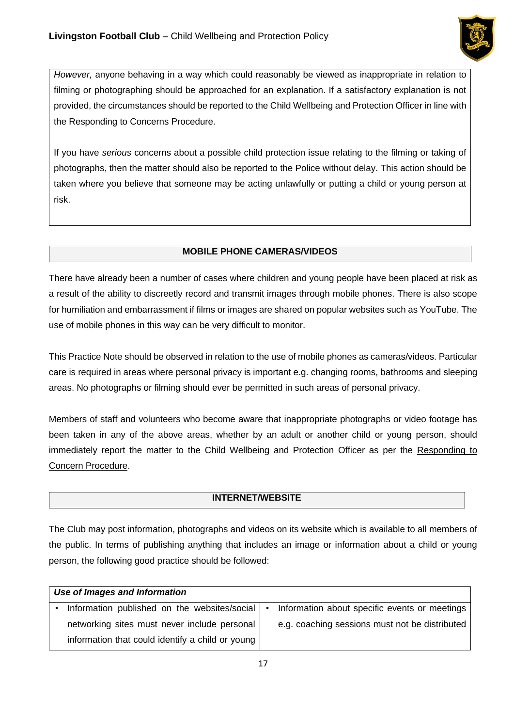

*However,* anyone behaving in a way which could reasonably be viewed as inappropriate in relation to filming or photographing should be approached for an explanation. If a satisfactory explanation is not provided, the circumstances should be reported to the Child Wellbeing and Protection Officer in line with the Responding to Concerns Procedure.

If you have *serious* concerns about a possible child protection issue relating to the filming or taking of photographs, then the matter should also be reported to the Police without delay. This action should be taken where you believe that someone may be acting unlawfully or putting a child or young person at risk.

### **MOBILE PHONE CAMERAS/VIDEOS**

There have already been a number of cases where children and young people have been placed at risk as a result of the ability to discreetly record and transmit images through mobile phones. There is also scope for humiliation and embarrassment if films or images are shared on popular websites such as YouTube. The use of mobile phones in this way can be very difficult to monitor.

This Practice Note should be observed in relation to the use of mobile phones as cameras/videos. Particular care is required in areas where personal privacy is important e.g. changing rooms, bathrooms and sleeping areas. No photographs or filming should ever be permitted in such areas of personal privacy.

Members of staff and volunteers who become aware that inappropriate photographs or video footage has been taken in any of the above areas, whether by an adult or another child or young person, should immediately report the matter to the Child Wellbeing and Protection Officer as per the Responding to Concern Procedure.

## **INTERNET/WEBSITE**

The Club may post information, photographs and videos on its website which is available to all members of the public. In terms of publishing anything that includes an image or information about a child or young person, the following good practice should be followed:

| Use of Images and Information                    |  |                                                |  |  |
|--------------------------------------------------|--|------------------------------------------------|--|--|
| Information published on the websites/social   • |  | Information about specific events or meetings  |  |  |
| networking sites must never include personal     |  | e.g. coaching sessions must not be distributed |  |  |
| information that could identify a child or young |  |                                                |  |  |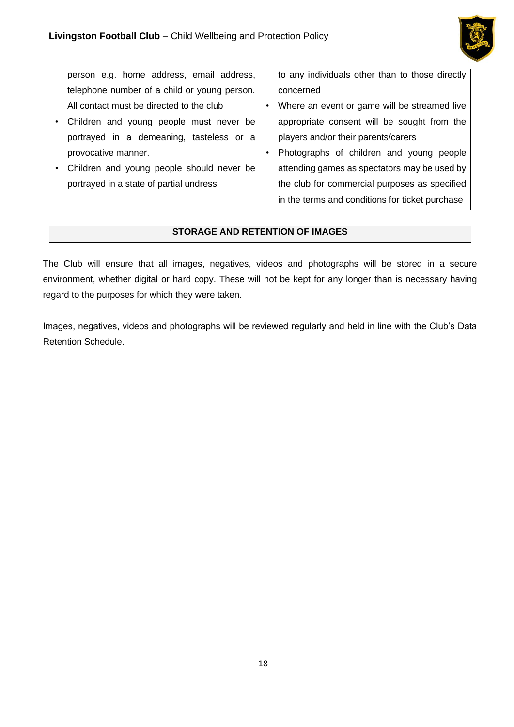

| person e.g. home address, email address,     | to any individuals other than to those directly |
|----------------------------------------------|-------------------------------------------------|
| telephone number of a child or young person. | concerned                                       |
| All contact must be directed to the club     | Where an event or game will be streamed live    |
| Children and young people must never be      | appropriate consent will be sought from the     |
| portrayed in a demeaning, tasteless or a     | players and/or their parents/carers             |
| provocative manner.                          | Photographs of children and young people        |
| Children and young people should never be    | attending games as spectators may be used by    |
| portrayed in a state of partial undress      | the club for commercial purposes as specified   |
|                                              | in the terms and conditions for ticket purchase |

### **STORAGE AND RETENTION OF IMAGES**

The Club will ensure that all images, negatives, videos and photographs will be stored in a secure environment, whether digital or hard copy. These will not be kept for any longer than is necessary having regard to the purposes for which they were taken.

Images, negatives, videos and photographs will be reviewed regularly and held in line with the Club's Data Retention Schedule.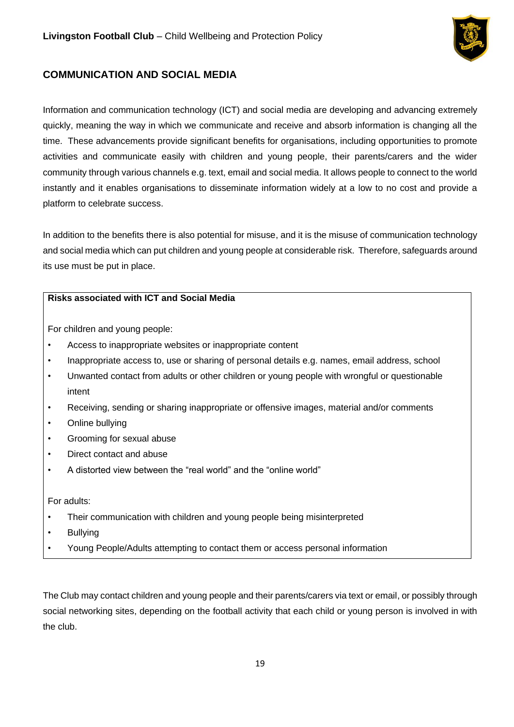

# <span id="page-18-0"></span>**COMMUNICATION AND SOCIAL MEDIA**

Information and communication technology (ICT) and social media are developing and advancing extremely quickly, meaning the way in which we communicate and receive and absorb information is changing all the time. These advancements provide significant benefits for organisations, including opportunities to promote activities and communicate easily with children and young people, their parents/carers and the wider community through various channels e.g. text, email and social media. It allows people to connect to the world instantly and it enables organisations to disseminate information widely at a low to no cost and provide a platform to celebrate success.

In addition to the benefits there is also potential for misuse, and it is the misuse of communication technology and social media which can put children and young people at considerable risk. Therefore, safeguards around its use must be put in place.

## **Risks associated with ICT and Social Media**

For children and young people:

- Access to inappropriate websites or inappropriate content
- Inappropriate access to, use or sharing of personal details e.g. names, email address, school
- Unwanted contact from adults or other children or young people with wrongful or questionable intent
- Receiving, sending or sharing inappropriate or offensive images, material and/or comments
- Online bullying
- Grooming for sexual abuse
- Direct contact and abuse
- A distorted view between the "real world" and the "online world"

For adults:

- Their communication with children and young people being misinterpreted
- **Bullving**
- Young People/Adults attempting to contact them or access personal information

The Club may contact children and young people and their parents/carers via text or email, or possibly through social networking sites, depending on the football activity that each child or young person is involved in with the club.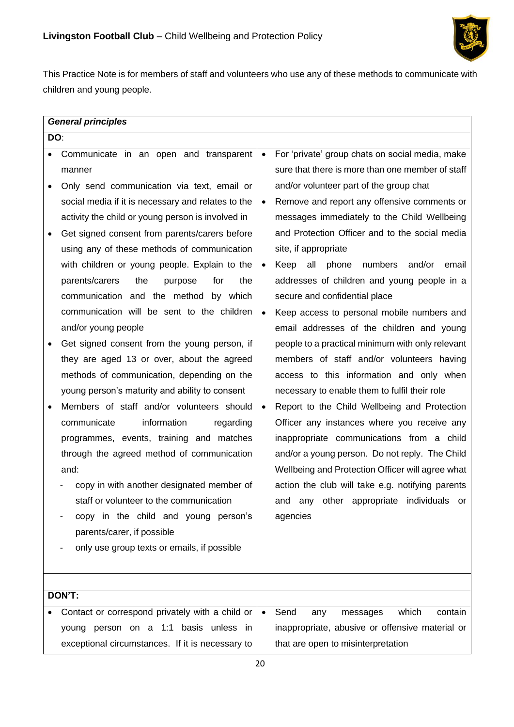

This Practice Note is for members of staff and volunteers who use any of these methods to communicate with children and young people.

|           | <b>General principles</b>                          |           |                                                  |  |  |
|-----------|----------------------------------------------------|-----------|--------------------------------------------------|--|--|
|           | DO:                                                |           |                                                  |  |  |
| $\bullet$ | Communicate in an open and transparent             | $\bullet$ | For 'private' group chats on social media, make  |  |  |
|           | manner                                             |           | sure that there is more than one member of staff |  |  |
|           | Only send communication via text, email or         |           | and/or volunteer part of the group chat          |  |  |
|           | social media if it is necessary and relates to the | $\bullet$ | Remove and report any offensive comments or      |  |  |
|           | activity the child or young person is involved in  |           | messages immediately to the Child Wellbeing      |  |  |
| ٠         | Get signed consent from parents/carers before      |           | and Protection Officer and to the social media   |  |  |
|           | using any of these methods of communication        |           | site, if appropriate                             |  |  |
|           | with children or young people. Explain to the      | $\bullet$ | all phone<br>Keep<br>numbers<br>and/or<br>email  |  |  |
|           | parents/carers<br>the<br>for<br>purpose<br>the     |           | addresses of children and young people in a      |  |  |
|           | communication and the method by which              |           | secure and confidential place                    |  |  |
|           | communication will be sent to the children         | $\bullet$ | Keep access to personal mobile numbers and       |  |  |
|           | and/or young people                                |           | email addresses of the children and young        |  |  |
|           | Get signed consent from the young person, if       |           | people to a practical minimum with only relevant |  |  |
|           | they are aged 13 or over, about the agreed         |           | members of staff and/or volunteers having        |  |  |
|           | methods of communication, depending on the         |           | access to this information and only when         |  |  |
|           | young person's maturity and ability to consent     |           | necessary to enable them to fulfil their role    |  |  |
| $\bullet$ | Members of staff and/or volunteers should          | $\bullet$ | Report to the Child Wellbeing and Protection     |  |  |
|           | information<br>communicate<br>regarding            |           | Officer any instances where you receive any      |  |  |
|           | programmes, events, training and matches           |           | inappropriate communications from a child        |  |  |
|           | through the agreed method of communication         |           | and/or a young person. Do not reply. The Child   |  |  |
|           | and:                                               |           | Wellbeing and Protection Officer will agree what |  |  |
|           | copy in with another designated member of          |           | action the club will take e.g. notifying parents |  |  |
|           | staff or volunteer to the communication            |           | and any other appropriate individuals or         |  |  |
|           | copy in the child and young person's               |           | agencies                                         |  |  |
|           | parents/carer, if possible                         |           |                                                  |  |  |
|           | only use group texts or emails, if possible        |           |                                                  |  |  |
|           |                                                    |           |                                                  |  |  |
|           |                                                    |           |                                                  |  |  |
|           | DON'T:                                             |           |                                                  |  |  |
|           | Contact or correspond privately with a child or    | $\bullet$ | Send<br>which<br>contain<br>messages<br>any      |  |  |
|           | young person on a 1:1 basis unless in              |           | inappropriate, abusive or offensive material or  |  |  |
|           | exceptional circumstances. If it is necessary to   |           | that are open to misinterpretation               |  |  |
|           |                                                    | 20        |                                                  |  |  |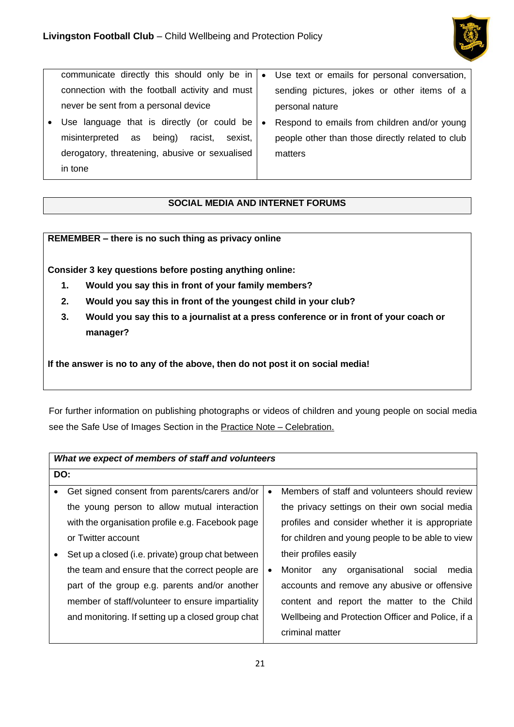

| communicate directly this should only be in       | $\bullet$ | Use text or emails for personal conversation,    |
|---------------------------------------------------|-----------|--------------------------------------------------|
| connection with the football activity and must    |           | sending pictures, jokes or other items of a      |
| never be sent from a personal device              |           | personal nature                                  |
| • Use language that is directly (or could be      | $\bullet$ | Respond to emails from children and/or young     |
| being)<br>sexist.<br>misinterpreted as<br>racist, |           | people other than those directly related to club |
| derogatory, threatening, abusive or sexualised    |           | matters                                          |
| in tone                                           |           |                                                  |

## **SOCIAL MEDIA AND INTERNET FORUMS**

## **REMEMBER – there is no such thing as privacy online**

**Consider 3 key questions before posting anything online:** 

- **1. Would you say this in front of your family members?**
- **2. Would you say this in front of the youngest child in your club?**
- **3. Would you say this to a journalist at a press conference or in front of your coach or manager?**

**If the answer is no to any of the above, then do not post it on social media!**

For further information on publishing photographs or videos of children and young people on social media see the Safe Use of Images Section in the Practice Note - Celebration.

|   | What we expect of members of staff and volunteers |           |                                                     |  |
|---|---------------------------------------------------|-----------|-----------------------------------------------------|--|
|   | DO:                                               |           |                                                     |  |
| ٠ | Get signed consent from parents/carers and/or     | $\bullet$ | Members of staff and volunteers should review       |  |
|   | the young person to allow mutual interaction      |           | the privacy settings on their own social media      |  |
|   | with the organisation profile e.g. Facebook page  |           | profiles and consider whether it is appropriate     |  |
|   | or Twitter account                                |           | for children and young people to be able to view    |  |
|   | Set up a closed (i.e. private) group chat between |           | their profiles easily                               |  |
|   | the team and ensure that the correct people are   | ٠         | organisational<br>media<br>Monitor<br>social<br>any |  |
|   | part of the group e.g. parents and/or another     |           | accounts and remove any abusive or offensive        |  |
|   | member of staff/volunteer to ensure impartiality  |           | content and report the matter to the Child          |  |
|   | and monitoring. If setting up a closed group chat |           | Wellbeing and Protection Officer and Police, if a   |  |
|   |                                                   |           | criminal matter                                     |  |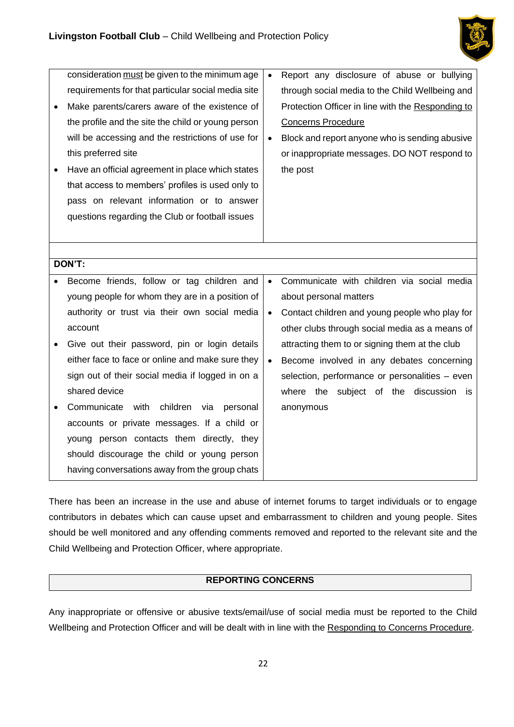

| consideration must be given to the minimum age<br>requirements for that particular social media site | $\bullet$ | Report any disclosure of abuse or bullying<br>through social media to the Child Wellbeing and |
|------------------------------------------------------------------------------------------------------|-----------|-----------------------------------------------------------------------------------------------|
| Make parents/carers aware of the existence of                                                        |           | Protection Officer in line with the Responding to                                             |
| the profile and the site the child or young person                                                   |           | <b>Concerns Procedure</b>                                                                     |
| will be accessing and the restrictions of use for                                                    | $\bullet$ | Block and report anyone who is sending abusive                                                |
| this preferred site                                                                                  |           | or inappropriate messages. DO NOT respond to                                                  |
| Have an official agreement in place which states                                                     |           | the post                                                                                      |
| that access to members' profiles is used only to                                                     |           |                                                                                               |
| pass on relevant information or to answer                                                            |           |                                                                                               |
| questions regarding the Club or football issues                                                      |           |                                                                                               |
|                                                                                                      |           |                                                                                               |
|                                                                                                      |           |                                                                                               |
| DON'T:                                                                                               |           |                                                                                               |
| Become friends, follow or tag children and                                                           | $\bullet$ | Communicate with children via social media                                                    |
| young people for whom they are in a position of                                                      |           | about personal matters                                                                        |
| authority or trust via their own social media                                                        | $\bullet$ | Contact children and young people who play for                                                |
| account                                                                                              |           | other clubs through social media as a means of                                                |
| Give out their password, pin or login details                                                        |           | attracting them to or signing them at the club                                                |
| either face to face or online and make sure they                                                     | $\bullet$ | Become involved in any debates concerning                                                     |
| sign out of their social media if logged in on a                                                     |           | selection, performance or personalities - even                                                |
| shared device                                                                                        |           | where the subject of the discussion<br>is.                                                    |
| with<br>Communicate<br>children<br>via<br>personal                                                   |           | anonymous                                                                                     |
| accounts or private messages. If a child or                                                          |           |                                                                                               |
| young person contacts them directly, they                                                            |           |                                                                                               |
| should discourage the child or young person                                                          |           |                                                                                               |
| having conversations away from the group chats                                                       |           |                                                                                               |

There has been an increase in the use and abuse of internet forums to target individuals or to engage contributors in debates which can cause upset and embarrassment to children and young people. Sites should be well monitored and any offending comments removed and reported to the relevant site and the Child Wellbeing and Protection Officer, where appropriate.

### **REPORTING CONCERNS**

Any inappropriate or offensive or abusive texts/email/use of social media must be reported to the Child Wellbeing and Protection Officer and will be dealt with in line with the Responding to Concerns Procedure.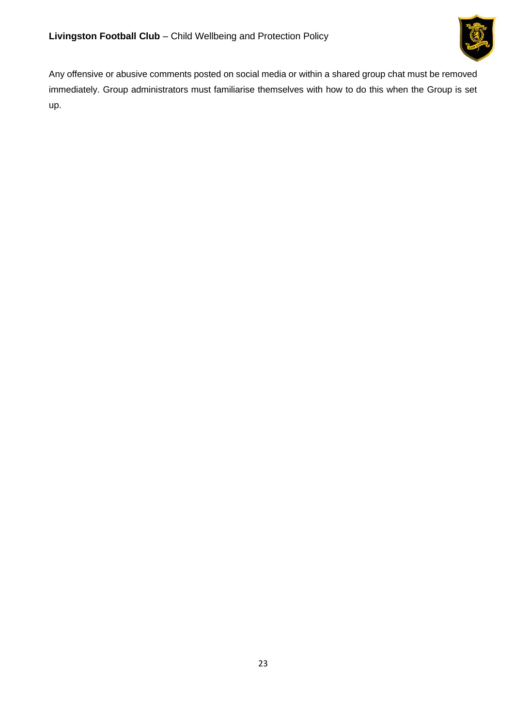

Any offensive or abusive comments posted on social media or within a shared group chat must be removed immediately. Group administrators must familiarise themselves with how to do this when the Group is set up.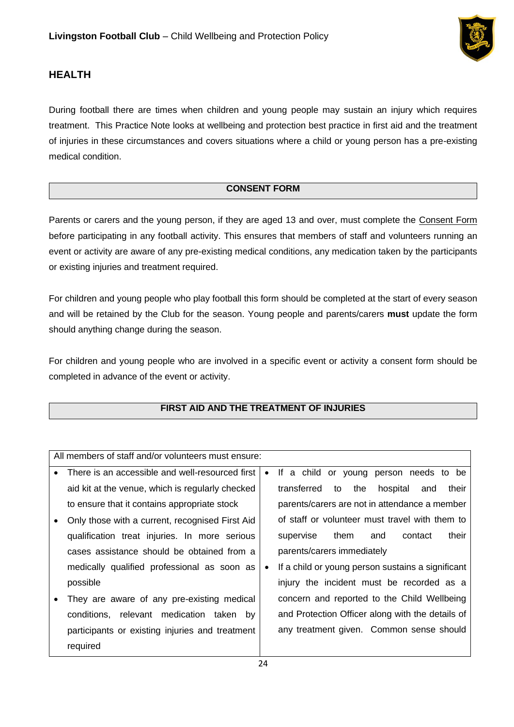

# <span id="page-23-0"></span>**HEALTH**

During football there are times when children and young people may sustain an injury which requires treatment. This Practice Note looks at wellbeing and protection best practice in first aid and the treatment of injuries in these circumstances and covers situations where a child or young person has a pre-existing medical condition.

## **CONSENT FORM**

Parents or carers and the young person, if they are aged 13 and over, must complete the Consent Form before participating in any football activity. This ensures that members of staff and volunteers running an event or activity are aware of any pre-existing medical conditions, any medication taken by the participants or existing injuries and treatment required.

For children and young people who play football this form should be completed at the start of every season and will be retained by the Club for the season. Young people and parents/carers **must** update the form should anything change during the season.

For children and young people who are involved in a specific event or activity a consent form should be completed in advance of the event or activity.

## **FIRST AID AND THE TREATMENT OF INJURIES**

| All members of staff and/or volunteers must ensure: |   |                                                      |  |
|-----------------------------------------------------|---|------------------------------------------------------|--|
| There is an accessible and well-resourced first     |   | If a child or young person needs to be               |  |
| aid kit at the venue, which is regularly checked    |   | transferred<br>the<br>hospital<br>to<br>their<br>and |  |
| to ensure that it contains appropriate stock        |   | parents/carers are not in attendance a member        |  |
| Only those with a current, recognised First Aid     |   | of staff or volunteer must travel with them to       |  |
| qualification treat injuries. In more serious       |   | their<br>them<br>supervise<br>and<br>contact         |  |
| cases assistance should be obtained from a          |   | parents/carers immediately                           |  |
| medically qualified professional as soon as         | ٠ | If a child or young person sustains a significant    |  |
| possible                                            |   | injury the incident must be recorded as a            |  |
| They are aware of any pre-existing medical          |   | concern and reported to the Child Wellbeing          |  |
| relevant medication taken by<br>conditions,         |   | and Protection Officer along with the details of     |  |
| participants or existing injuries and treatment     |   | any treatment given. Common sense should             |  |
| required                                            |   |                                                      |  |
|                                                     |   |                                                      |  |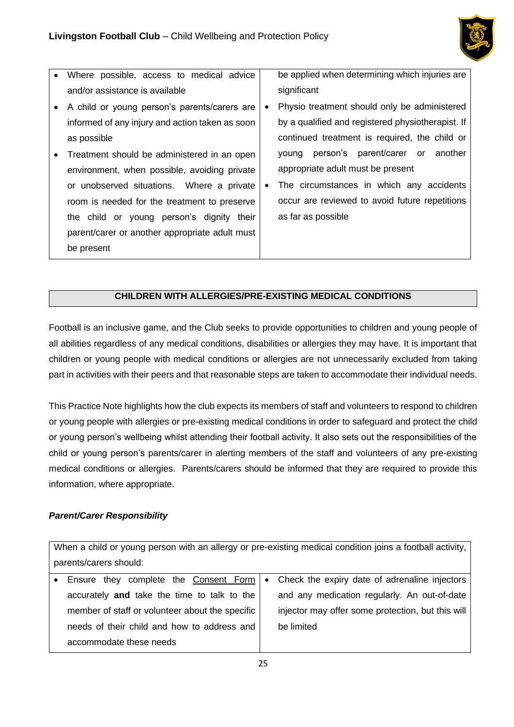

- Where possible, access to medical advice and/or assistance is available
- A child or young person's parents/carers are informed of any injury and action taken as soon as possible
- Treatment should be administered in an open environment, when possible, avoiding private or unobserved situations. Where a private room is needed for the treatment to preserve the child or young person's dignity their parent/carer or another appropriate adult must be present

be applied when determining which injuries are significant

- Physio treatment should only be administered by a qualified and registered physiotherapist. If continued treatment is required, the child or young person's parent/carer or another appropriate adult must be present
- The circumstances in which any accidents occur are reviewed to avoid future repetitions as far as possible

### **CHILDREN WITH ALLERGIES/PRE-EXISTING MEDICAL CONDITIONS**

Football is an inclusive game, and the Club seeks to provide opportunities to children and young people of all abilities regardless of any medical conditions, disabilities or allergies they may have. It is important that children or young people with medical conditions or allergies are not unnecessarily excluded from taking part in activities with their peers and that reasonable steps are taken to accommodate their individual needs.

This Practice Note highlights how the club expects its members of staff and volunteers to respond to children or young people with allergies or pre-existing medical conditions in order to safeguard and protect the child or young person's wellbeing whilst attending their football activity. It also sets out the responsibilities of the child or young person's parents/carer in alerting members of the staff and volunteers of any pre-existing medical conditions or allergies. Parents/carers should be informed that they are required to provide this information, where appropriate.

### *Parent/Carer Responsibility*

When a child or young person with an allergy or pre-existing medical condition joins a football activity, parents/carers should:

|                         | and any medication regularly. An out-of-date                                                                                                                                                                                               |
|-------------------------|--------------------------------------------------------------------------------------------------------------------------------------------------------------------------------------------------------------------------------------------|
|                         | injector may offer some protection, but this will                                                                                                                                                                                          |
|                         | be limited                                                                                                                                                                                                                                 |
| accommodate these needs |                                                                                                                                                                                                                                            |
|                         | • Ensure they complete the Consent Form   • Check the expiry date of adrenaline injectors<br>accurately and take the time to talk to the<br>member of staff or volunteer about the specific<br>needs of their child and how to address and |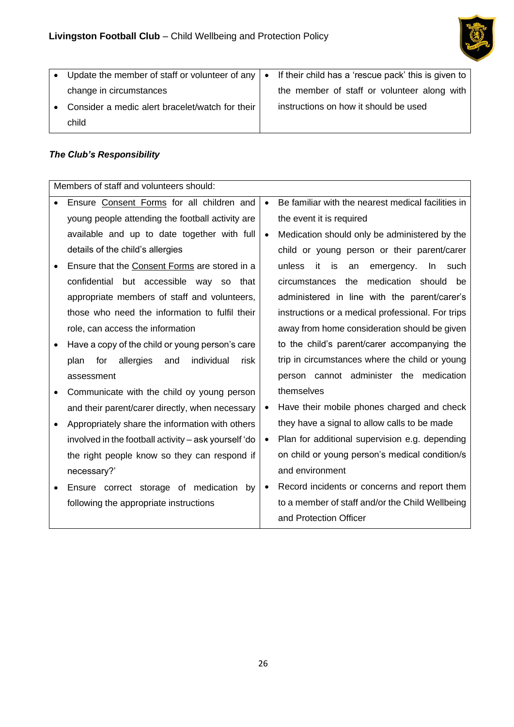

| • Update the member of staff or volunteer of any $\vert \bullet \vert$ | If their child has a 'rescue pack' this is given to |
|------------------------------------------------------------------------|-----------------------------------------------------|
| change in circumstances                                                | the member of staff or volunteer along with         |
| • Consider a medic alert bracelet/watch for their                      | instructions on how it should be used               |
| child                                                                  |                                                     |

## *The Club's Responsibility*

| Members of staff and volunteers should:               |           |                                                    |  |
|-------------------------------------------------------|-----------|----------------------------------------------------|--|
| Ensure Consent Forms for all children and             | $\bullet$ | Be familiar with the nearest medical facilities in |  |
| young people attending the football activity are      |           | the event it is required                           |  |
| available and up to date together with full           | $\bullet$ | Medication should only be administered by the      |  |
| details of the child's allergies                      |           | child or young person or their parent/carer        |  |
| Ensure that the Consent Forms are stored in a         |           | unless<br>it<br>is<br>an<br>emergency.<br>In such  |  |
| confidential but accessible way so<br>that            |           | medication should<br>the<br>circumstances<br>be.   |  |
| appropriate members of staff and volunteers,          |           | administered in line with the parent/carer's       |  |
| those who need the information to fulfil their        |           | instructions or a medical professional. For trips  |  |
| role, can access the information                      |           | away from home consideration should be given       |  |
| Have a copy of the child or young person's care       |           | to the child's parent/carer accompanying the       |  |
| allergies<br>individual<br>plan<br>for<br>and<br>risk |           | trip in circumstances where the child or young     |  |
| assessment                                            |           | person cannot administer the medication            |  |
| Communicate with the child oy young person            |           | themselves                                         |  |
| and their parent/carer directly, when necessary       | $\bullet$ | Have their mobile phones charged and check         |  |
| Appropriately share the information with others       |           | they have a signal to allow calls to be made       |  |
| involved in the football activity - ask yourself 'do  | $\bullet$ | Plan for additional supervision e.g. depending     |  |
| the right people know so they can respond if          |           | on child or young person's medical condition/s     |  |
| necessary?'                                           |           | and environment                                    |  |
| Ensure correct storage of medication<br>by            | $\bullet$ | Record incidents or concerns and report them       |  |
| following the appropriate instructions                |           | to a member of staff and/or the Child Wellbeing    |  |
|                                                       |           | and Protection Officer                             |  |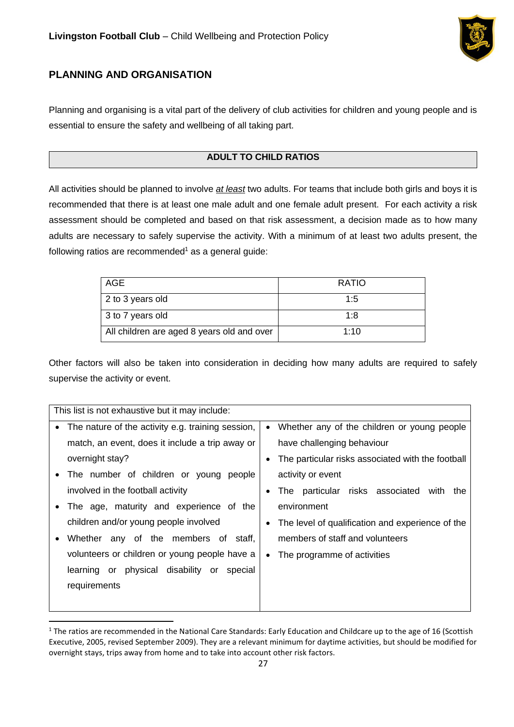

# <span id="page-26-0"></span>**PLANNING AND ORGANISATION**

Planning and organising is a vital part of the delivery of club activities for children and young people and is essential to ensure the safety and wellbeing of all taking part.

# **ADULT TO CHILD RATIOS**

All activities should be planned to involve *at least* two adults. For teams that include both girls and boys it is recommended that there is at least one male adult and one female adult present. For each activity a risk assessment should be completed and based on that risk assessment, a decision made as to how many adults are necessary to safely supervise the activity. With a minimum of at least two adults present, the following ratios are recommended<sup>1</sup> as a general quide:

| AGE                                        | <b>RATIO</b> |
|--------------------------------------------|--------------|
| 2 to 3 years old                           | 1:5          |
| 3 to 7 years old                           | 1.8          |
| All children are aged 8 years old and over | 1:10         |

Other factors will also be taken into consideration in deciding how many adults are required to safely supervise the activity or event.

| This list is not exhaustive but it may include:                |                                                   |  |
|----------------------------------------------------------------|---------------------------------------------------|--|
| The nature of the activity e.g. training session,<br>$\bullet$ | Whether any of the children or young people       |  |
| match, an event, does it include a trip away or                | have challenging behaviour                        |  |
| overnight stay?                                                | The particular risks associated with the football |  |
| The number of children or young<br>people                      | activity or event                                 |  |
| involved in the football activity                              | The particular risks associated<br>with<br>the    |  |
| The age, maturity and experience of the                        | environment                                       |  |
| children and/or young people involved                          | The level of qualification and experience of the  |  |
| Whether any of the members of staff,<br>$\bullet$              | members of staff and volunteers                   |  |
| volunteers or children or young people have a                  | The programme of activities<br>$\bullet$          |  |
| physical disability or<br>learning or<br>special               |                                                   |  |
| requirements                                                   |                                                   |  |
|                                                                |                                                   |  |

 $1$  The ratios are recommended in the National Care Standards: Early Education and Childcare up to the age of 16 (Scottish Executive, 2005, revised September 2009). They are a relevant minimum for daytime activities, but should be modified for overnight stays, trips away from home and to take into account other risk factors.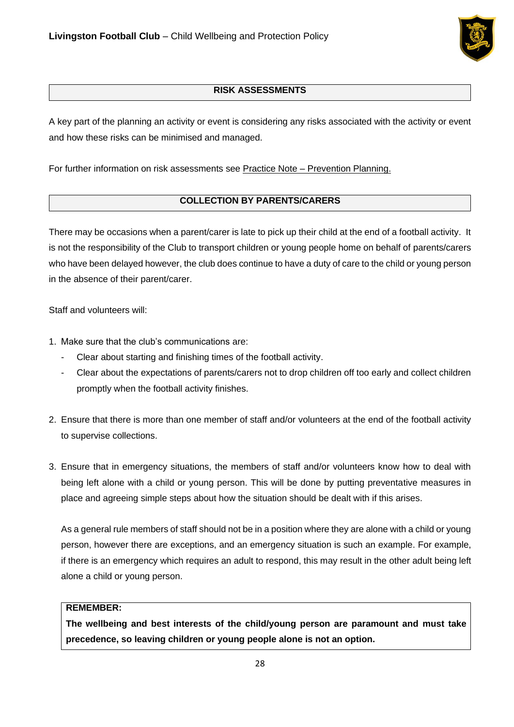

## **RISK ASSESSMENTS**

A key part of the planning an activity or event is considering any risks associated with the activity or event and how these risks can be minimised and managed.

For further information on risk assessments see Practice Note – Prevention Planning.

## **COLLECTION BY PARENTS/CARERS**

There may be occasions when a parent/carer is late to pick up their child at the end of a football activity. It is not the responsibility of the Club to transport children or young people home on behalf of parents/carers who have been delayed however, the club does continue to have a duty of care to the child or young person in the absence of their parent/carer.

Staff and volunteers will:

- 1. Make sure that the club's communications are:
	- Clear about starting and finishing times of the football activity.
	- Clear about the expectations of parents/carers not to drop children off too early and collect children promptly when the football activity finishes.
- 2. Ensure that there is more than one member of staff and/or volunteers at the end of the football activity to supervise collections.
- 3. Ensure that in emergency situations, the members of staff and/or volunteers know how to deal with being left alone with a child or young person. This will be done by putting preventative measures in place and agreeing simple steps about how the situation should be dealt with if this arises.

As a general rule members of staff should not be in a position where they are alone with a child or young person, however there are exceptions, and an emergency situation is such an example. For example, if there is an emergency which requires an adult to respond, this may result in the other adult being left alone a child or young person.

### **REMEMBER:**

**The wellbeing and best interests of the child/young person are paramount and must take precedence, so leaving children or young people alone is not an option.**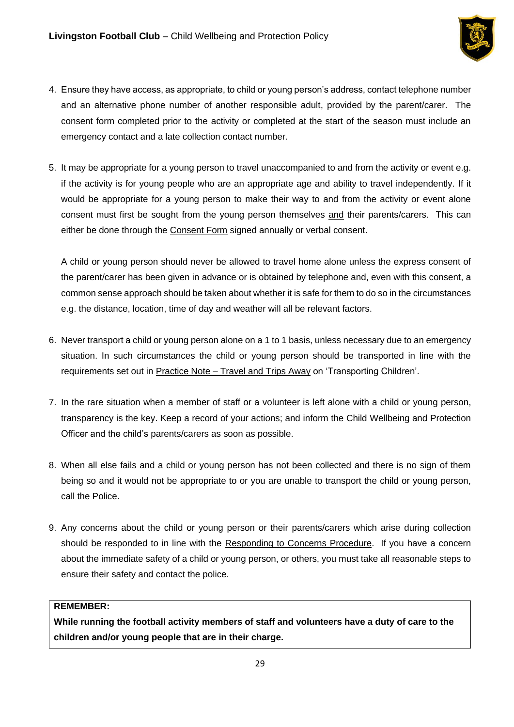

- 4. Ensure they have access, as appropriate, to child or young person's address, contact telephone number and an alternative phone number of another responsible adult, provided by the parent/carer. The consent form completed prior to the activity or completed at the start of the season must include an emergency contact and a late collection contact number.
- 5. It may be appropriate for a young person to travel unaccompanied to and from the activity or event e.g. if the activity is for young people who are an appropriate age and ability to travel independently. If it would be appropriate for a young person to make their way to and from the activity or event alone consent must first be sought from the young person themselves and their parents/carers. This can either be done through the Consent Form signed annually or verbal consent.

A child or young person should never be allowed to travel home alone unless the express consent of the parent/carer has been given in advance or is obtained by telephone and, even with this consent, a common sense approach should be taken about whether it is safe for them to do so in the circumstances e.g. the distance, location, time of day and weather will all be relevant factors.

- 6. Never transport a child or young person alone on a 1 to 1 basis, unless necessary due to an emergency situation. In such circumstances the child or young person should be transported in line with the requirements set out in Practice Note – Travel and Trips Away on 'Transporting Children'.
- 7. In the rare situation when a member of staff or a volunteer is left alone with a child or young person, transparency is the key. Keep a record of your actions; and inform the Child Wellbeing and Protection Officer and the child's parents/carers as soon as possible.
- 8. When all else fails and a child or young person has not been collected and there is no sign of them being so and it would not be appropriate to or you are unable to transport the child or young person, call the Police.
- 9. Any concerns about the child or young person or their parents/carers which arise during collection should be responded to in line with the Responding to Concerns Procedure. If you have a concern about the immediate safety of a child or young person, or others, you must take all reasonable steps to ensure their safety and contact the police.

### **REMEMBER:**

**While running the football activity members of staff and volunteers have a duty of care to the children and/or young people that are in their charge.**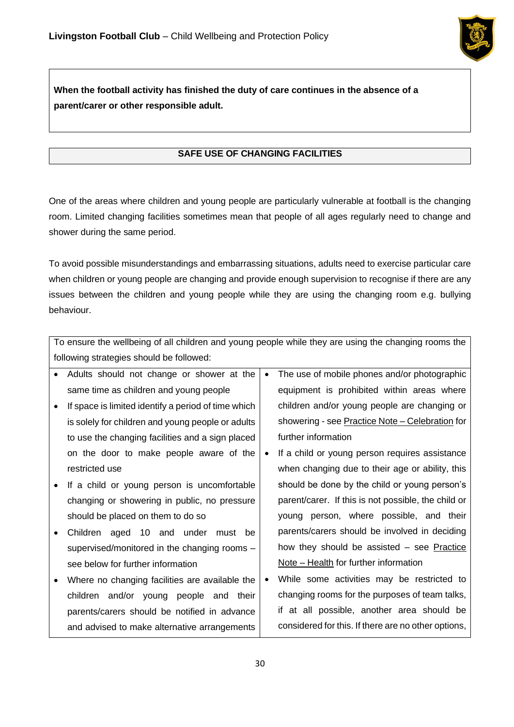

# **When the football activity has finished the duty of care continues in the absence of a parent/carer or other responsible adult.**

# **SAFE USE OF CHANGING FACILITIES**

One of the areas where children and young people are particularly vulnerable at football is the changing room. Limited changing facilities sometimes mean that people of all ages regularly need to change and shower during the same period.

To avoid possible misunderstandings and embarrassing situations, adults need to exercise particular care when children or young people are changing and provide enough supervision to recognise if there are any issues between the children and young people while they are using the changing room e.g. bullying behaviour.

|                                          | To ensure the wellbeing of all children and young people while they are using the changing rooms the |           |                                                     |  |
|------------------------------------------|------------------------------------------------------------------------------------------------------|-----------|-----------------------------------------------------|--|
| following strategies should be followed: |                                                                                                      |           |                                                     |  |
|                                          | Adults should not change or shower at the                                                            | $\bullet$ | The use of mobile phones and/or photographic        |  |
|                                          | same time as children and young people                                                               |           | equipment is prohibited within areas where          |  |
|                                          | If space is limited identify a period of time which                                                  |           | children and/or young people are changing or        |  |
|                                          | is solely for children and young people or adults                                                    |           | showering - see Practice Note - Celebration for     |  |
|                                          | to use the changing facilities and a sign placed                                                     |           | further information                                 |  |
|                                          | on the door to make people aware of the                                                              | $\bullet$ | If a child or young person requires assistance      |  |
|                                          | restricted use                                                                                       |           | when changing due to their age or ability, this     |  |
|                                          | If a child or young person is uncomfortable                                                          |           | should be done by the child or young person's       |  |
|                                          | changing or showering in public, no pressure                                                         |           | parent/carer. If this is not possible, the child or |  |
|                                          | should be placed on them to do so                                                                    |           | young person, where possible, and their             |  |
|                                          | Children aged 10 and under must<br>be                                                                |           | parents/carers should be involved in deciding       |  |
|                                          | supervised/monitored in the changing rooms -                                                         |           | how they should be assisted - see Practice          |  |
|                                          | see below for further information                                                                    |           | Note – Health for further information               |  |
|                                          | Where no changing facilities are available the                                                       | $\bullet$ | While some activities may be restricted to          |  |
|                                          | children and/or young people and their                                                               |           | changing rooms for the purposes of team talks,      |  |
|                                          | parents/carers should be notified in advance                                                         |           | if at all possible, another area should be          |  |
|                                          | and advised to make alternative arrangements                                                         |           | considered for this. If there are no other options, |  |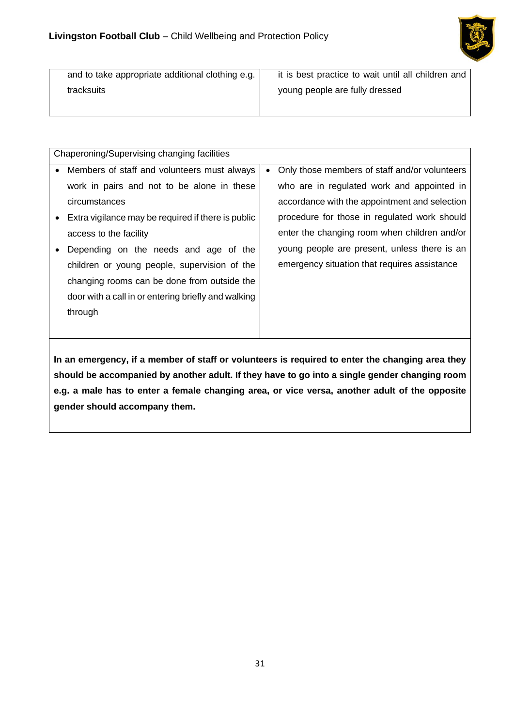

| and to take appropriate additional clothing e.g. | it is best practice to wait until all children and |
|--------------------------------------------------|----------------------------------------------------|
| tracksuits                                       | young people are fully dressed                     |
|                                                  |                                                    |

|           | Chaperoning/Supervising changing facilities         |  |                                               |  |
|-----------|-----------------------------------------------------|--|-----------------------------------------------|--|
| $\bullet$ | Members of staff and volunteers must always         |  | Only those members of staff and/or volunteers |  |
|           | work in pairs and not to be alone in these          |  | who are in regulated work and appointed in    |  |
|           | circumstances                                       |  | accordance with the appointment and selection |  |
| $\bullet$ | Extra vigilance may be required if there is public  |  | procedure for those in regulated work should  |  |
|           | access to the facility                              |  | enter the changing room when children and/or  |  |
|           | Depending on the needs and age of the               |  | young people are present, unless there is an  |  |
|           | children or young people, supervision of the        |  | emergency situation that requires assistance  |  |
|           | changing rooms can be done from outside the         |  |                                               |  |
|           | door with a call in or entering briefly and walking |  |                                               |  |
|           | through                                             |  |                                               |  |
|           |                                                     |  |                                               |  |

**In an emergency, if a member of staff or volunteers is required to enter the changing area they should be accompanied by another adult. If they have to go into a single gender changing room e.g. a male has to enter a female changing area, or vice versa, another adult of the opposite gender should accompany them.**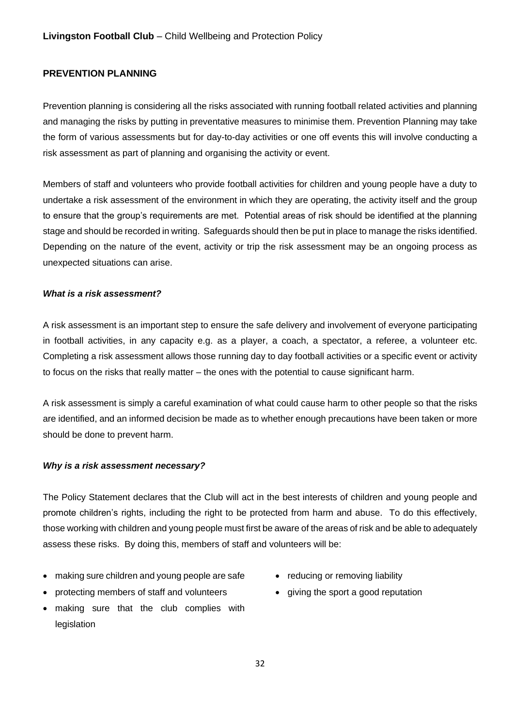### <span id="page-31-0"></span>**PREVENTION PLANNING**

Prevention planning is considering all the risks associated with running football related activities and planning and managing the risks by putting in preventative measures to minimise them. Prevention Planning may take the form of various assessments but for day-to-day activities or one off events this will involve conducting a risk assessment as part of planning and organising the activity or event.

Members of staff and volunteers who provide football activities for children and young people have a duty to undertake a risk assessment of the environment in which they are operating, the activity itself and the group to ensure that the group's requirements are met. Potential areas of risk should be identified at the planning stage and should be recorded in writing. Safeguards should then be put in place to manage the risks identified. Depending on the nature of the event, activity or trip the risk assessment may be an ongoing process as unexpected situations can arise.

#### *What is a risk assessment?*

A risk assessment is an important step to ensure the safe delivery and involvement of everyone participating in football activities, in any capacity e.g. as a player, a coach, a spectator, a referee, a volunteer etc. Completing a risk assessment allows those running day to day football activities or a specific event or activity to focus on the risks that really matter – the ones with the potential to cause significant harm.

A risk assessment is simply a careful examination of what could cause harm to other people so that the risks are identified, and an informed decision be made as to whether enough precautions have been taken or more should be done to prevent harm.

### *Why is a risk assessment necessary?*

The Policy Statement declares that the Club will act in the best interests of children and young people and promote children's rights, including the right to be protected from harm and abuse. To do this effectively, those working with children and young people must first be aware of the areas of risk and be able to adequately assess these risks. By doing this, members of staff and volunteers will be:

- making sure children and young people are safe
- protecting members of staff and volunteers
- making sure that the club complies with legislation
- reducing or removing liability
- giving the sport a good reputation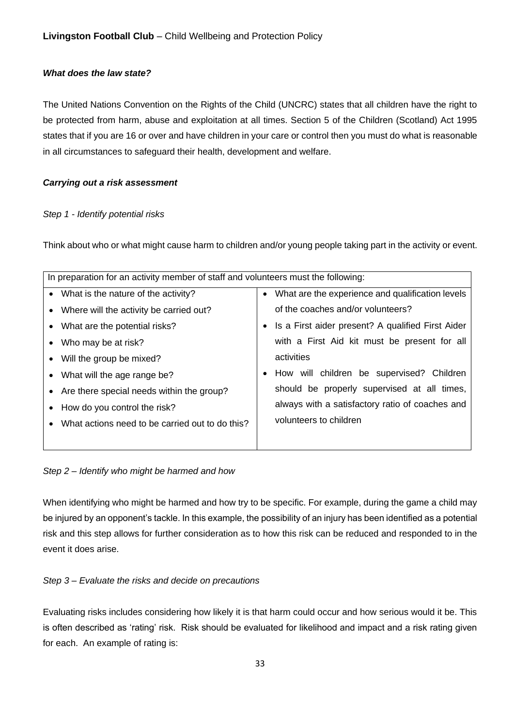### *What does the law state?*

The United Nations Convention on the Rights of the Child (UNCRC) states that all children have the right to be protected from harm, abuse and exploitation at all times. Section 5 of the Children (Scotland) Act 1995 states that if you are 16 or over and have children in your care or control then you must do what is reasonable in all circumstances to safeguard their health, development and welfare.

### *Carrying out a risk assessment*

#### *Step 1 - Identify potential risks*

Think about who or what might cause harm to children and/or young people taking part in the activity or event.

| In preparation for an activity member of staff and volunteers must the following: |                                                 |  |                                                     |  |
|-----------------------------------------------------------------------------------|-------------------------------------------------|--|-----------------------------------------------------|--|
| • What is the nature of the activity?                                             |                                                 |  | • What are the experience and qualification levels  |  |
| • Where will the activity be carried out?                                         |                                                 |  | of the coaches and/or volunteers?                   |  |
| • What are the potential risks?                                                   |                                                 |  | • Is a First aider present? A qualified First Aider |  |
| • Who may be at risk?                                                             |                                                 |  | with a First Aid kit must be present for all        |  |
| • Will the group be mixed?                                                        |                                                 |  | activities                                          |  |
| • What will the age range be?                                                     |                                                 |  | How will children be supervised? Children           |  |
|                                                                                   | • Are there special needs within the group?     |  | should be properly supervised at all times,         |  |
| • How do you control the risk?                                                    |                                                 |  | always with a satisfactory ratio of coaches and     |  |
| $\bullet$                                                                         | What actions need to be carried out to do this? |  | volunteers to children                              |  |
|                                                                                   |                                                 |  |                                                     |  |
|                                                                                   |                                                 |  |                                                     |  |

*Step 2 – Identify who might be harmed and how* 

When identifying who might be harmed and how try to be specific. For example, during the game a child may be injured by an opponent's tackle. In this example, the possibility of an injury has been identified as a potential risk and this step allows for further consideration as to how this risk can be reduced and responded to in the event it does arise.

### *Step 3 – Evaluate the risks and decide on precautions*

Evaluating risks includes considering how likely it is that harm could occur and how serious would it be. This is often described as 'rating' risk. Risk should be evaluated for likelihood and impact and a risk rating given for each. An example of rating is: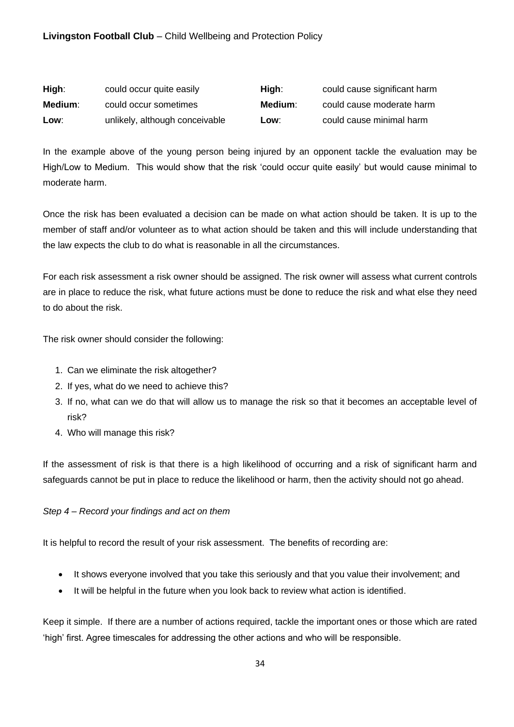## **Livingston Football Club** – Child Wellbeing and Protection Policy

| High:   | could occur quite easily       | Hiah:   | could cause significant harm |
|---------|--------------------------------|---------|------------------------------|
| Medium: | could occur sometimes          | Medium: | could cause moderate harm    |
| Low:    | unlikely, although conceivable | Low:    | could cause minimal harm     |

In the example above of the young person being injured by an opponent tackle the evaluation may be High/Low to Medium. This would show that the risk 'could occur quite easily' but would cause minimal to moderate harm.

Once the risk has been evaluated a decision can be made on what action should be taken. It is up to the member of staff and/or volunteer as to what action should be taken and this will include understanding that the law expects the club to do what is reasonable in all the circumstances.

For each risk assessment a risk owner should be assigned. The risk owner will assess what current controls are in place to reduce the risk, what future actions must be done to reduce the risk and what else they need to do about the risk.

The risk owner should consider the following:

- 1. Can we eliminate the risk altogether?
- 2. If yes, what do we need to achieve this?
- 3. If no, what can we do that will allow us to manage the risk so that it becomes an acceptable level of risk?
- 4. Who will manage this risk?

If the assessment of risk is that there is a high likelihood of occurring and a risk of significant harm and safeguards cannot be put in place to reduce the likelihood or harm, then the activity should not go ahead.

#### *Step 4 – Record your findings and act on them*

It is helpful to record the result of your risk assessment. The benefits of recording are:

- It shows everyone involved that you take this seriously and that you value their involvement; and
- It will be helpful in the future when you look back to review what action is identified.

Keep it simple. If there are a number of actions required, tackle the important ones or those which are rated 'high' first. Agree timescales for addressing the other actions and who will be responsible.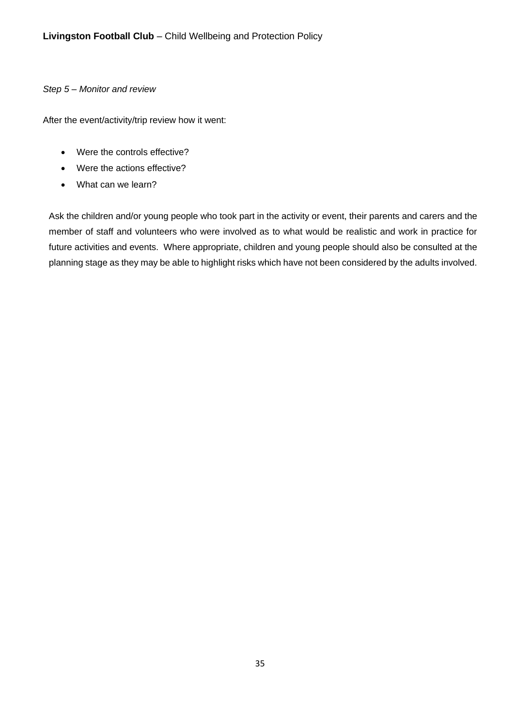### *Step 5 – Monitor and review*

After the event/activity/trip review how it went:

- Were the controls effective?
- Were the actions effective?
- What can we learn?

Ask the children and/or young people who took part in the activity or event, their parents and carers and the member of staff and volunteers who were involved as to what would be realistic and work in practice for future activities and events. Where appropriate, children and young people should also be consulted at the planning stage as they may be able to highlight risks which have not been considered by the adults involved.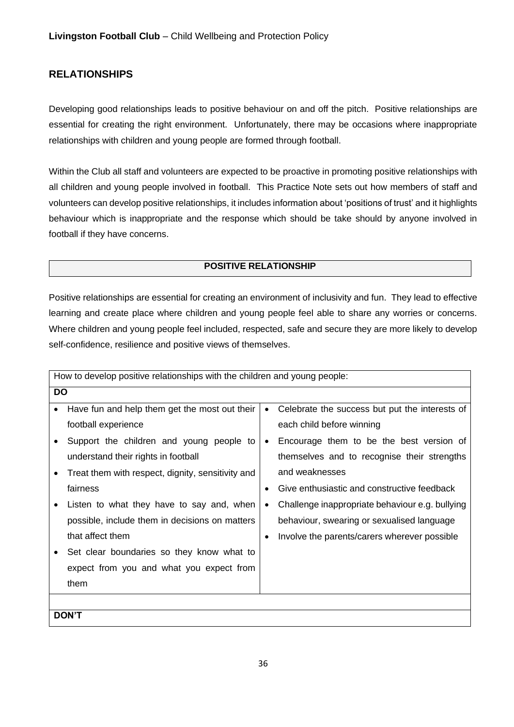# <span id="page-35-0"></span>**RELATIONSHIPS**

Developing good relationships leads to positive behaviour on and off the pitch. Positive relationships are essential for creating the right environment. Unfortunately, there may be occasions where inappropriate relationships with children and young people are formed through football.

Within the Club all staff and volunteers are expected to be proactive in promoting positive relationships with all children and young people involved in football. This Practice Note sets out how members of staff and volunteers can develop positive relationships, it includes information about 'positions of trust' and it highlights behaviour which is inappropriate and the response which should be take should by anyone involved in football if they have concerns.

### **POSITIVE RELATIONSHIP**

Positive relationships are essential for creating an environment of inclusivity and fun. They lead to effective learning and create place where children and young people feel able to share any worries or concerns. Where children and young people feel included, respected, safe and secure they are more likely to develop self-confidence, resilience and positive views of themselves.

|           | How to develop positive relationships with the children and young people: |           |                                                 |  |  |
|-----------|---------------------------------------------------------------------------|-----------|-------------------------------------------------|--|--|
|           | <b>DO</b>                                                                 |           |                                                 |  |  |
|           | Have fun and help them get the most out their                             | $\bullet$ | Celebrate the success but put the interests of  |  |  |
|           | football experience                                                       |           | each child before winning                       |  |  |
|           | Support the children and young people to                                  | $\bullet$ | Encourage them to be the best version of        |  |  |
|           | understand their rights in football                                       |           | themselves and to recognise their strengths     |  |  |
| $\bullet$ | Treat them with respect, dignity, sensitivity and                         |           | and weaknesses                                  |  |  |
|           | fairness                                                                  | $\bullet$ | Give enthusiastic and constructive feedback     |  |  |
|           | Listen to what they have to say and, when                                 | $\bullet$ | Challenge inappropriate behaviour e.g. bullying |  |  |
|           | possible, include them in decisions on matters                            |           | behaviour, swearing or sexualised language      |  |  |
|           | that affect them                                                          | $\bullet$ | Involve the parents/carers wherever possible    |  |  |
|           | Set clear boundaries so they know what to                                 |           |                                                 |  |  |
|           | expect from you and what you expect from                                  |           |                                                 |  |  |
|           | them                                                                      |           |                                                 |  |  |
|           |                                                                           |           |                                                 |  |  |
|           | <b>DON'T</b>                                                              |           |                                                 |  |  |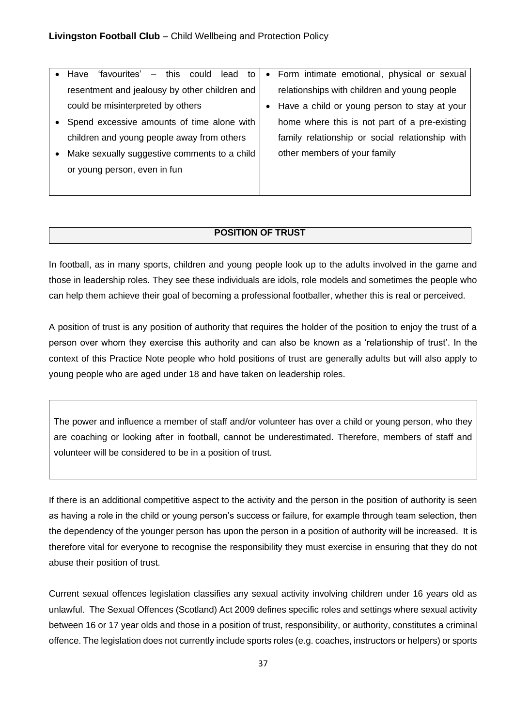|           | 'favourites' – this could lead to<br>$\bullet$ Have | • Form intimate emotional, physical or sexual   |
|-----------|-----------------------------------------------------|-------------------------------------------------|
|           | resentment and jealousy by other children and       | relationships with children and young people    |
|           | could be misinterpreted by others                   | • Have a child or young person to stay at your  |
|           | • Spend excessive amounts of time alone with        | home where this is not part of a pre-existing   |
|           | children and young people away from others          | family relationship or social relationship with |
| $\bullet$ | Make sexually suggestive comments to a child        | other members of your family                    |
|           | or young person, even in fun                        |                                                 |
|           |                                                     |                                                 |

## **POSITION OF TRUST**

In football, as in many sports, children and young people look up to the adults involved in the game and those in leadership roles. They see these individuals are idols, role models and sometimes the people who can help them achieve their goal of becoming a professional footballer, whether this is real or perceived.

A position of trust is any position of authority that requires the holder of the position to enjoy the trust of a person over whom they exercise this authority and can also be known as a 'relationship of trust'. In the context of this Practice Note people who hold positions of trust are generally adults but will also apply to young people who are aged under 18 and have taken on leadership roles.

The power and influence a member of staff and/or volunteer has over a child or young person, who they are coaching or looking after in football, cannot be underestimated. Therefore, members of staff and volunteer will be considered to be in a position of trust.

If there is an additional competitive aspect to the activity and the person in the position of authority is seen as having a role in the child or young person's success or failure, for example through team selection, then the dependency of the younger person has upon the person in a position of authority will be increased. It is therefore vital for everyone to recognise the responsibility they must exercise in ensuring that they do not abuse their position of trust.

Current sexual offences legislation classifies any sexual activity involving children under 16 years old as unlawful. The Sexual Offences (Scotland) Act 2009 defines specific roles and settings where sexual activity between 16 or 17 year olds and those in a position of trust, responsibility, or authority, constitutes a criminal offence. The legislation does not currently include sports roles (e.g. coaches, instructors or helpers) or sports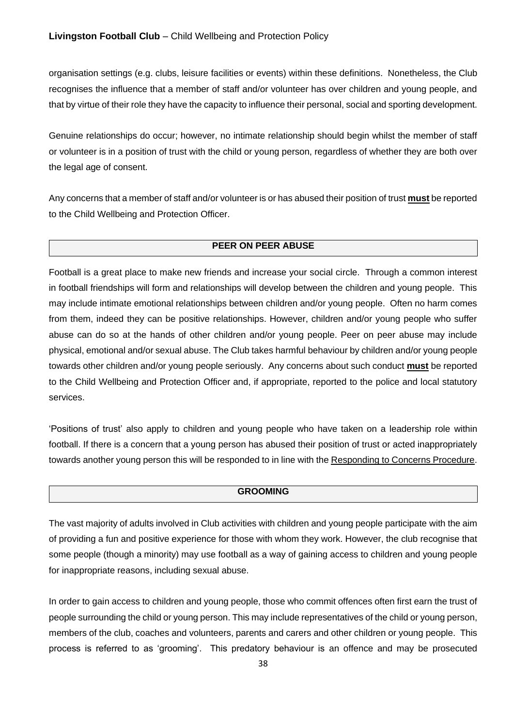organisation settings (e.g. clubs, leisure facilities or events) within these definitions. Nonetheless, the Club recognises the influence that a member of staff and/or volunteer has over children and young people, and that by virtue of their role they have the capacity to influence their personal, social and sporting development.

Genuine relationships do occur; however, no intimate relationship should begin whilst the member of staff or volunteer is in a position of trust with the child or young person, regardless of whether they are both over the legal age of consent.

Any concerns that a member of staff and/or volunteer is or has abused their position of trust **must** be reported to the Child Wellbeing and Protection Officer.

#### **PEER ON PEER ABUSE**

Football is a great place to make new friends and increase your social circle. Through a common interest in football friendships will form and relationships will develop between the children and young people. This may include intimate emotional relationships between children and/or young people. Often no harm comes from them, indeed they can be positive relationships. However, children and/or young people who suffer abuse can do so at the hands of other children and/or young people. Peer on peer abuse may include physical, emotional and/or sexual abuse. The Club takes harmful behaviour by children and/or young people towards other children and/or young people seriously. Any concerns about such conduct **must** be reported to the Child Wellbeing and Protection Officer and, if appropriate, reported to the police and local statutory services.

'Positions of trust' also apply to children and young people who have taken on a leadership role within football. If there is a concern that a young person has abused their position of trust or acted inappropriately towards another young person this will be responded to in line with the Responding to Concerns Procedure.

#### **GROOMING**

The vast majority of adults involved in Club activities with children and young people participate with the aim of providing a fun and positive experience for those with whom they work. However, the club recognise that some people (though a minority) may use football as a way of gaining access to children and young people for inappropriate reasons, including sexual abuse.

In order to gain access to children and young people, those who commit offences often first earn the trust of people surrounding the child or young person. This may include representatives of the child or young person, members of the club, coaches and volunteers, parents and carers and other children or young people. This process is referred to as 'grooming'. This predatory behaviour is an offence and may be prosecuted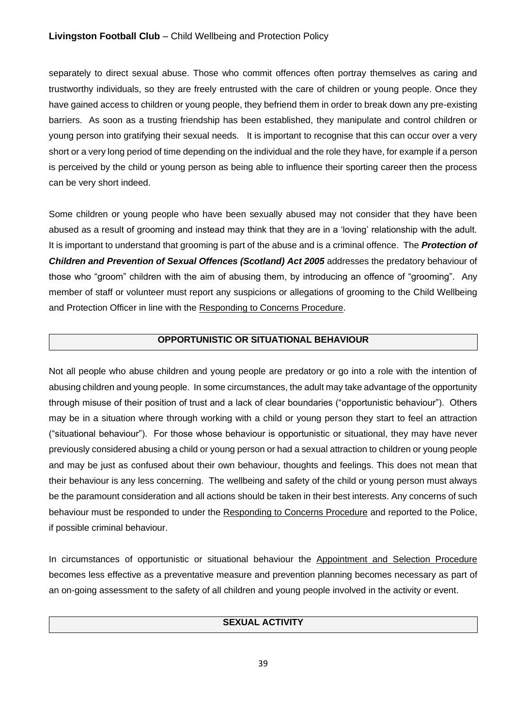### **Livingston Football Club** – Child Wellbeing and Protection Policy

separately to direct sexual abuse. Those who commit offences often portray themselves as caring and trustworthy individuals, so they are freely entrusted with the care of children or young people. Once they have gained access to children or young people, they befriend them in order to break down any pre-existing barriers. As soon as a trusting friendship has been established, they manipulate and control children or young person into gratifying their sexual needs. It is important to recognise that this can occur over a very short or a very long period of time depending on the individual and the role they have, for example if a person is perceived by the child or young person as being able to influence their sporting career then the process can be very short indeed.

Some children or young people who have been sexually abused may not consider that they have been abused as a result of grooming and instead may think that they are in a 'loving' relationship with the adult. It is important to understand that grooming is part of the abuse and is a criminal offence. The *Protection of Children and Prevention of Sexual Offences (Scotland) Act 2005* addresses the predatory behaviour of those who "groom" children with the aim of abusing them, by introducing an offence of "grooming". Any member of staff or volunteer must report any suspicions or allegations of grooming to the Child Wellbeing and Protection Officer in line with the Responding to Concerns Procedure.

### **OPPORTUNISTIC OR SITUATIONAL BEHAVIOUR**

Not all people who abuse children and young people are predatory or go into a role with the intention of abusing children and young people. In some circumstances, the adult may take advantage of the opportunity through misuse of their position of trust and a lack of clear boundaries ("opportunistic behaviour"). Others may be in a situation where through working with a child or young person they start to feel an attraction ("situational behaviour"). For those whose behaviour is opportunistic or situational, they may have never previously considered abusing a child or young person or had a sexual attraction to children or young people and may be just as confused about their own behaviour, thoughts and feelings. This does not mean that their behaviour is any less concerning. The wellbeing and safety of the child or young person must always be the paramount consideration and all actions should be taken in their best interests. Any concerns of such behaviour must be responded to under the Responding to Concerns Procedure and reported to the Police, if possible criminal behaviour.

In circumstances of opportunistic or situational behaviour the Appointment and Selection Procedure becomes less effective as a preventative measure and prevention planning becomes necessary as part of an on-going assessment to the safety of all children and young people involved in the activity or event.

## **SEXUAL ACTIVITY**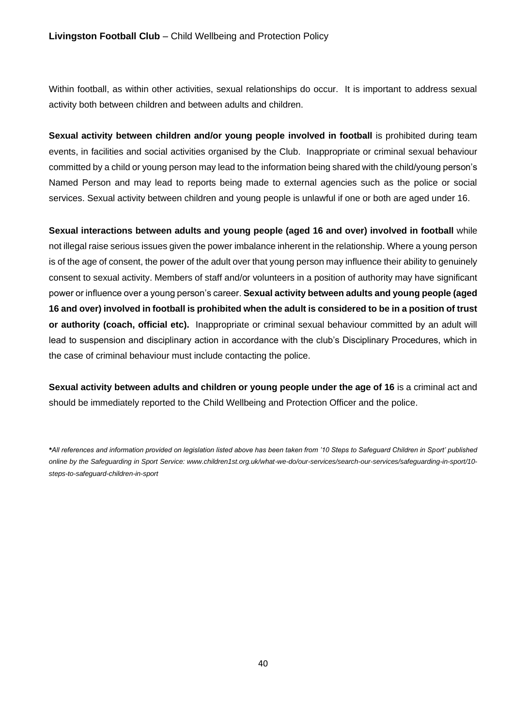Within football, as within other activities, sexual relationships do occur. It is important to address sexual activity both between children and between adults and children.

**Sexual activity between children and/or young people involved in football** is prohibited during team events, in facilities and social activities organised by the Club. Inappropriate or criminal sexual behaviour committed by a child or young person may lead to the information being shared with the child/young person's Named Person and may lead to reports being made to external agencies such as the police or social services. Sexual activity between children and young people is unlawful if one or both are aged under 16.

**Sexual interactions between adults and young people (aged 16 and over) involved in football** while not illegal raise serious issues given the power imbalance inherent in the relationship. Where a young person is of the age of consent, the power of the adult over that young person may influence their ability to genuinely consent to sexual activity. Members of staff and/or volunteers in a position of authority may have significant power or influence over a young person's career. **Sexual activity between adults and young people (aged 16 and over) involved in football is prohibited when the adult is considered to be in a position of trust or authority (coach, official etc).** Inappropriate or criminal sexual behaviour committed by an adult will lead to suspension and disciplinary action in accordance with the club's Disciplinary Procedures, which in the case of criminal behaviour must include contacting the police.

**Sexual activity between adults and children or young people under the age of 16** is a criminal act and should be immediately reported to the Child Wellbeing and Protection Officer and the police.

*\*All references and information provided on legislation listed above has been taken from '10 Steps to Safeguard Children in Sport' published online by the Safeguarding in Sport Service: www.children1st.org.uk/what-we-do/our-services/search-our-services/safeguarding-in-sport/10 steps-to-safeguard-children-in-sport*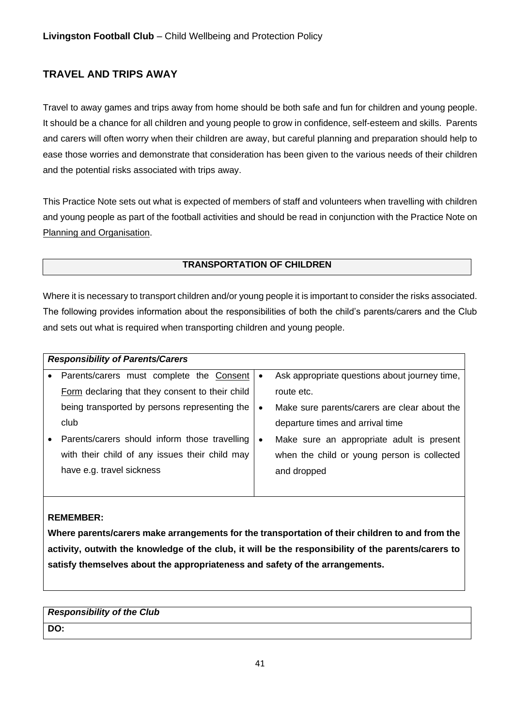# <span id="page-40-0"></span>**TRAVEL AND TRIPS AWAY**

Travel to away games and trips away from home should be both safe and fun for children and young people. It should be a chance for all children and young people to grow in confidence, self-esteem and skills. Parents and carers will often worry when their children are away, but careful planning and preparation should help to ease those worries and demonstrate that consideration has been given to the various needs of their children and the potential risks associated with trips away.

This Practice Note sets out what is expected of members of staff and volunteers when travelling with children and young people as part of the football activities and should be read in conjunction with the Practice Note on Planning and Organisation.

### **TRANSPORTATION OF CHILDREN**

Where it is necessary to transport children and/or young people it is important to consider the risks associated. The following provides information about the responsibilities of both the child's parents/carers and the Club and sets out what is required when transporting children and young people.

| <b>Responsibility of Parents/Carers</b>         |           |                                               |
|-------------------------------------------------|-----------|-----------------------------------------------|
| Parents/carers must complete the Consent        | $\bullet$ | Ask appropriate questions about journey time, |
| Form declaring that they consent to their child |           | route etc.                                    |
| being transported by persons representing the   | $\bullet$ | Make sure parents/carers are clear about the  |
| club                                            |           | departure times and arrival time              |
| Parents/carers should inform those travelling   | $\bullet$ | Make sure an appropriate adult is present     |
| with their child of any issues their child may  |           | when the child or young person is collected   |
| have e.g. travel sickness                       |           | and dropped                                   |
|                                                 |           |                                               |

### **REMEMBER:**

**Where parents/carers make arrangements for the transportation of their children to and from the activity, outwith the knowledge of the club, it will be the responsibility of the parents/carers to satisfy themselves about the appropriateness and safety of the arrangements.** 

## *Responsibility of the Club*  **DO:**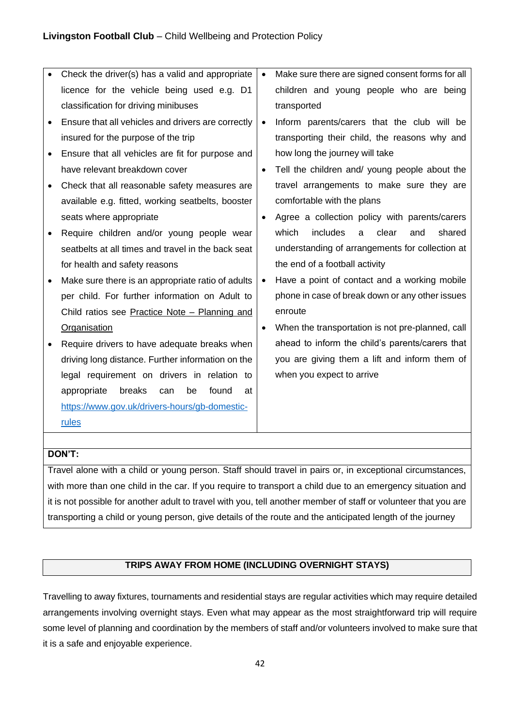| Check the driver(s) has a valid and appropriate    | $\bullet$ | Make sure there are signed consent forms for all |
|----------------------------------------------------|-----------|--------------------------------------------------|
| licence for the vehicle being used e.g. D1         |           | children and young people who are being          |
| classification for driving minibuses               |           | transported                                      |
| Ensure that all vehicles and drivers are correctly | $\bullet$ | Inform parents/carers that the club will be      |
| insured for the purpose of the trip                |           | transporting their child, the reasons why and    |
| Ensure that all vehicles are fit for purpose and   |           | how long the journey will take                   |
| have relevant breakdown cover                      | $\bullet$ | Tell the children and/ young people about the    |
| Check that all reasonable safety measures are      |           | travel arrangements to make sure they are        |
| available e.g. fitted, working seatbelts, booster  |           | comfortable with the plans                       |
| seats where appropriate                            | $\bullet$ | Agree a collection policy with parents/carers    |
| Require children and/or young people wear          |           | which<br>includes<br>clear<br>shared<br>and<br>a |
| seatbelts at all times and travel in the back seat |           | understanding of arrangements for collection at  |
| for health and safety reasons                      |           | the end of a football activity                   |
| Make sure there is an appropriate ratio of adults  | $\bullet$ | Have a point of contact and a working mobile     |
| per child. For further information on Adult to     |           | phone in case of break down or any other issues  |
| Child ratios see Practice Note - Planning and      |           | enroute                                          |
| <b>Organisation</b>                                | $\bullet$ | When the transportation is not pre-planned, call |
| Require drivers to have adequate breaks when       |           | ahead to inform the child's parents/carers that  |
| driving long distance. Further information on the  |           | you are giving them a lift and inform them of    |
| legal requirement on drivers in relation to        |           | when you expect to arrive                        |
| appropriate<br>breaks<br>be<br>found<br>can<br>at  |           |                                                  |
| https://www.gov.uk/drivers-hours/gb-domestic-      |           |                                                  |
| rules                                              |           |                                                  |

### **DON'T:**

Travel alone with a child or young person. Staff should travel in pairs or, in exceptional circumstances, with more than one child in the car. If you require to transport a child due to an emergency situation and it is not possible for another adult to travel with you, tell another member of staff or volunteer that you are transporting a child or young person, give details of the route and the anticipated length of the journey

### **TRIPS AWAY FROM HOME (INCLUDING OVERNIGHT STAYS)**

Travelling to away fixtures, tournaments and residential stays are regular activities which may require detailed arrangements involving overnight stays. Even what may appear as the most straightforward trip will require some level of planning and coordination by the members of staff and/or volunteers involved to make sure that it is a safe and enjoyable experience.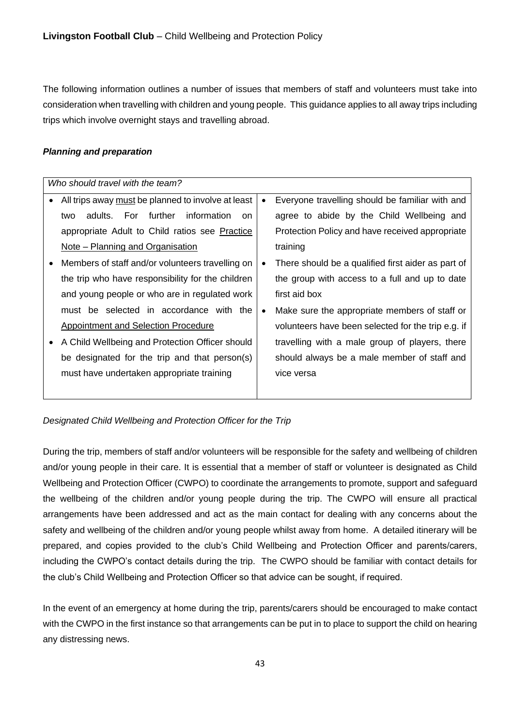The following information outlines a number of issues that members of staff and volunteers must take into consideration when travelling with children and young people. This guidance applies to all away trips including trips which involve overnight stays and travelling abroad.

### *Planning and preparation*

| Who should travel with the team?                                |           |                                                    |
|-----------------------------------------------------------------|-----------|----------------------------------------------------|
| All trips away must be planned to involve at least<br>$\bullet$ | $\bullet$ | Everyone travelling should be familiar with and    |
| For further<br>information<br>adults.<br>two<br><sub>on</sub>   |           | agree to abide by the Child Wellbeing and          |
| appropriate Adult to Child ratios see Practice                  |           | Protection Policy and have received appropriate    |
| Note – Planning and Organisation                                |           | training                                           |
| Members of staff and/or volunteers travelling on<br>$\bullet$   | $\bullet$ | There should be a qualified first aider as part of |
| the trip who have responsibility for the children               |           | the group with access to a full and up to date     |
| and young people or who are in regulated work                   |           | first aid box                                      |
| must be selected in accordance with the                         | $\bullet$ | Make sure the appropriate members of staff or      |
| Appointment and Selection Procedure                             |           | volunteers have been selected for the trip e.g. if |
| A Child Wellbeing and Protection Officer should                 |           | travelling with a male group of players, there     |
| be designated for the trip and that person(s)                   |           | should always be a male member of staff and        |
| must have undertaken appropriate training                       |           | vice versa                                         |
|                                                                 |           |                                                    |

*Designated Child Wellbeing and Protection Officer for the Trip*

During the trip, members of staff and/or volunteers will be responsible for the safety and wellbeing of children and/or young people in their care. It is essential that a member of staff or volunteer is designated as Child Wellbeing and Protection Officer (CWPO) to coordinate the arrangements to promote, support and safeguard the wellbeing of the children and/or young people during the trip. The CWPO will ensure all practical arrangements have been addressed and act as the main contact for dealing with any concerns about the safety and wellbeing of the children and/or young people whilst away from home. A detailed itinerary will be prepared, and copies provided to the club's Child Wellbeing and Protection Officer and parents/carers, including the CWPO's contact details during the trip. The CWPO should be familiar with contact details for the club's Child Wellbeing and Protection Officer so that advice can be sought, if required.

In the event of an emergency at home during the trip, parents/carers should be encouraged to make contact with the CWPO in the first instance so that arrangements can be put in to place to support the child on hearing any distressing news.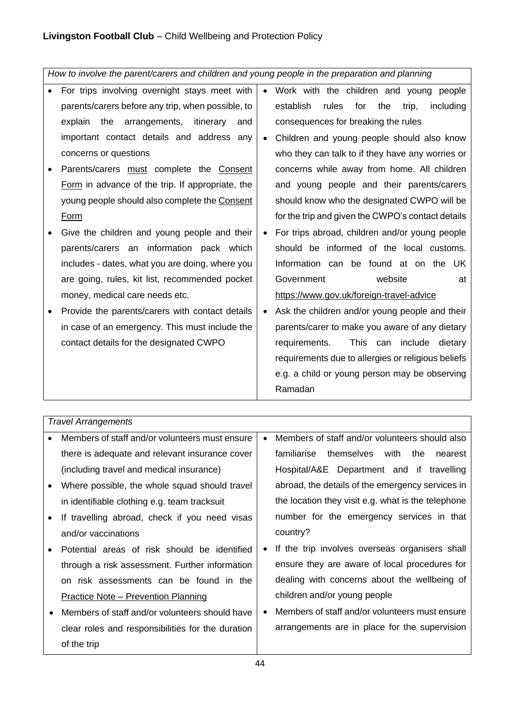*How to involve the parent/carers and children and young people in the preparation and planning*

- For trips involving overnight stays meet with parents/carers before any trip, when possible, to explain the arrangements, itinerary and important contact details and address any concerns or questions
- Parents/carers must complete the Consent Form in advance of the trip. If appropriate, the young people should also complete the Consent Form
- Give the children and young people and their parents/carers an information pack which includes - dates, what you are doing, where you are going, rules, kit list, recommended pocket money, medical care needs etc.
- Provide the parents/carers with contact details in case of an emergency. This must include the contact details for the designated CWPO
- Work with the children and young people establish rules for the trip, including consequences for breaking the rules
- Children and young people should also know who they can talk to if they have any worries or concerns while away from home. All children and young people and their parents/carers should know who the designated CWPO will be for the trip and given the CWPO's contact details
- For trips abroad, children and/or young people should be informed of the local customs. Information can be found at on the UK Government website at https://www.gov.uk/foreign-travel-advice
- Ask the children and/or young people and their parents/carer to make you aware of any dietary requirements. This can include dietary requirements due to allergies or religious beliefs e.g. a child or young person may be observing Ramadan

*Travel Arrangements*

| $\bullet$ | Members of staff and/or volunteers must ensure    |           | Members of staff and/or volunteers should also     |
|-----------|---------------------------------------------------|-----------|----------------------------------------------------|
|           | there is adequate and relevant insurance cover    |           | themselves with<br>familiarise<br>the<br>nearest   |
|           | (including travel and medical insurance)          |           | Hospital/A&E Department and if travelling          |
| $\bullet$ | Where possible, the whole squad should travel     |           | abroad, the details of the emergency services in   |
|           | in identifiable clothing e.g. team tracksuit      |           | the location they visit e.g. what is the telephone |
| $\bullet$ | If travelling abroad, check if you need visas     |           | number for the emergency services in that          |
|           | and/or vaccinations                               |           | country?                                           |
| $\bullet$ | Potential areas of risk should be identified      | $\bullet$ | If the trip involves overseas organisers shall     |
|           | through a risk assessment. Further information    |           | ensure they are aware of local procedures for      |
|           | on risk assessments can be found in the           |           | dealing with concerns about the wellbeing of       |
|           | <u> Practice Note – Prevention Planning</u>       |           | children and/or young people                       |
| $\bullet$ | Members of staff and/or volunteers should have    |           | Members of staff and/or volunteers must ensure     |
|           | clear roles and responsibilities for the duration |           | arrangements are in place for the supervision      |
|           | of the trip                                       |           |                                                    |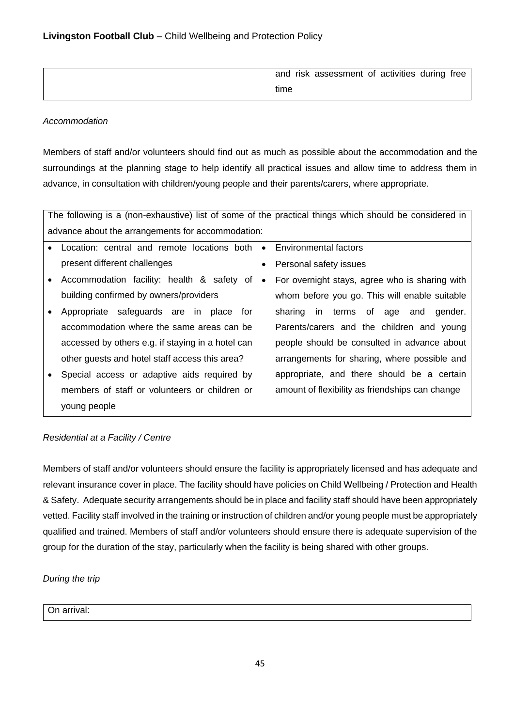| and risk assessment of activities during free |
|-----------------------------------------------|
| time                                          |

### *Accommodation*

Members of staff and/or volunteers should find out as much as possible about the accommodation and the surroundings at the planning stage to help identify all practical issues and allow time to address them in advance, in consultation with children/young people and their parents/carers, where appropriate.

| The following is a (non-exhaustive) list of some of the practical things which should be considered in |                                                             |  |
|--------------------------------------------------------------------------------------------------------|-------------------------------------------------------------|--|
| advance about the arrangements for accommodation:                                                      |                                                             |  |
| Location: central and remote locations both<br>$\bullet$                                               | Environmental factors<br>$\bullet$                          |  |
| present different challenges                                                                           | Personal safety issues<br>٠                                 |  |
| Accommodation facility: health & safety of<br>$\bullet$                                                | For overnight stays, agree who is sharing with<br>$\bullet$ |  |
| building confirmed by owners/providers                                                                 | whom before you go. This will enable suitable               |  |
| Appropriate safeguards are in place for                                                                | sharing in terms of age and gender.                         |  |
| accommodation where the same areas can be                                                              | Parents/carers and the children and young                   |  |
| accessed by others e.g. if staying in a hotel can                                                      | people should be consulted in advance about                 |  |
| other guests and hotel staff access this area?                                                         | arrangements for sharing, where possible and                |  |
| Special access or adaptive aids required by<br>$\bullet$                                               | appropriate, and there should be a certain                  |  |
| members of staff or volunteers or children or                                                          | amount of flexibility as friendships can change             |  |
| young people                                                                                           |                                                             |  |

## *Residential at a Facility / Centre*

Members of staff and/or volunteers should ensure the facility is appropriately licensed and has adequate and relevant insurance cover in place. The facility should have policies on Child Wellbeing / Protection and Health & Safety. Adequate security arrangements should be in place and facility staff should have been appropriately vetted. Facility staff involved in the training or instruction of children and/or young people must be appropriately qualified and trained. Members of staff and/or volunteers should ensure there is adequate supervision of the group for the duration of the stay, particularly when the facility is being shared with other groups.

## *During the trip*

On arrival: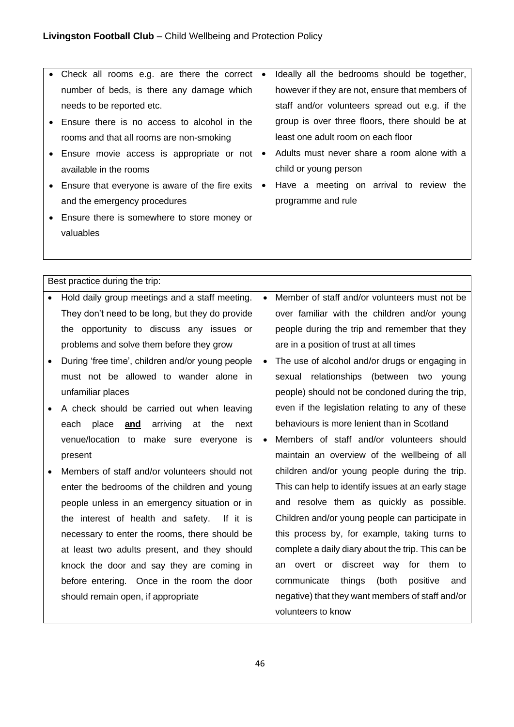| • Check all rooms e.g. are there the correct      | $\bullet$ | Ideally all the bedrooms should be together,    |
|---------------------------------------------------|-----------|-------------------------------------------------|
| number of beds, is there any damage which         |           | however if they are not, ensure that members of |
| needs to be reported etc.                         |           | staff and/or volunteers spread out e.g. if the  |
| Ensure there is no access to alcohol in the       |           | group is over three floors, there should be at  |
| rooms and that all rooms are non-smoking          |           | least one adult room on each floor              |
| • Ensure movie access is appropriate or not       | $\bullet$ | Adults must never share a room alone with a     |
| available in the rooms                            |           | child or young person                           |
| • Ensure that everyone is aware of the fire exits | $\bullet$ | Have a meeting on arrival to review the         |
| and the emergency procedures                      |           | programme and rule                              |
| Ensure there is somewhere to store money or       |           |                                                 |
| valuables                                         |           |                                                 |
|                                                   |           |                                                 |

Best practice during the trip:

- Hold daily group meetings and a staff meeting. They don't need to be long, but they do provide the opportunity to discuss any issues or problems and solve them before they grow
- During 'free time', children and/or young people must not be allowed to wander alone in unfamiliar places
- A check should be carried out when leaving each place **and** arriving at the next venue/location to make sure everyone is present
- Members of staff and/or volunteers should not enter the bedrooms of the children and young people unless in an emergency situation or in the interest of health and safety. If it is necessary to enter the rooms, there should be at least two adults present, and they should knock the door and say they are coming in before entering. Once in the room the door should remain open, if appropriate
- Member of staff and/or volunteers must not be over familiar with the children and/or young people during the trip and remember that they are in a position of trust at all times
- The use of alcohol and/or drugs or engaging in sexual relationships (between two young people) should not be condoned during the trip, even if the legislation relating to any of these behaviours is more lenient than in Scotland
- Members of staff and/or volunteers should maintain an overview of the wellbeing of all children and/or young people during the trip. This can help to identify issues at an early stage and resolve them as quickly as possible. Children and/or young people can participate in this process by, for example, taking turns to complete a daily diary about the trip. This can be an overt or discreet way for them to communicate things (both positive and negative) that they want members of staff and/or volunteers to know